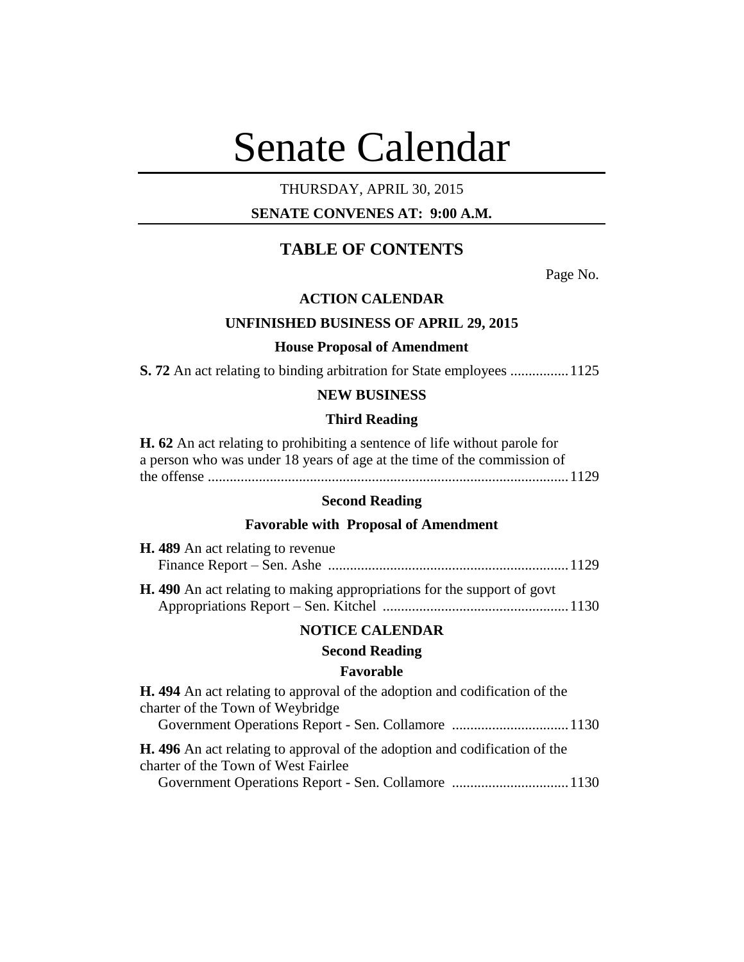# Senate Calendar

# THURSDAY, APRIL 30, 2015

## **SENATE CONVENES AT: 9:00 A.M.**

# **TABLE OF CONTENTS**

Page No.

## **ACTION CALENDAR**

## **UNFINISHED BUSINESS OF APRIL 29, 2015**

#### **House Proposal of Amendment**

**S. 72** An act relating to binding arbitration for State employees ................1125

## **NEW BUSINESS**

#### **Third Reading**

| <b>H. 62</b> An act relating to prohibiting a sentence of life without parole for |
|-----------------------------------------------------------------------------------|
| a person who was under 18 years of age at the time of the commission of           |
|                                                                                   |

## **Second Reading**

## **Favorable with Proposal of Amendment**

| <b>H.</b> 489 An act relating to revenue                                       |  |
|--------------------------------------------------------------------------------|--|
|                                                                                |  |
| <b>H.</b> 490 An act relating to making appropriations for the support of govt |  |

## **NOTICE CALENDAR**

## **Second Reading**

## **Favorable**

| <b>H.</b> 494 An act relating to approval of the adoption and codification of the |  |
|-----------------------------------------------------------------------------------|--|
| charter of the Town of Weybridge                                                  |  |
|                                                                                   |  |
| <b>H.</b> 496 An act relating to approval of the adoption and codification of the |  |
| charter of the Town of West Fairlee                                               |  |
|                                                                                   |  |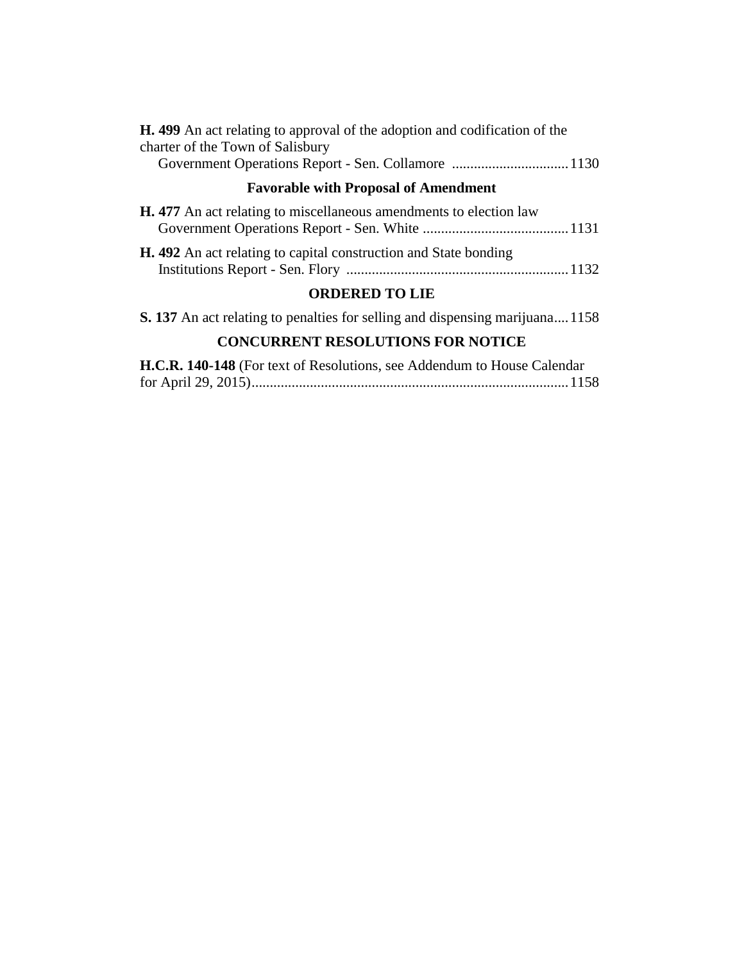| <b>H.</b> 499 An act relating to approval of the adoption and codification of the<br>charter of the Town of Salisbury |
|-----------------------------------------------------------------------------------------------------------------------|
| <b>Favorable with Proposal of Amendment</b>                                                                           |
| <b>H.</b> 477 An act relating to miscellaneous amendments to election law                                             |
| <b>H.</b> 492 An act relating to capital construction and State bonding                                               |
| <b>ORDERED TO LIE</b>                                                                                                 |
| <b>S. 137</b> An act relating to penalties for selling and dispensing marijuana 1158                                  |
| <b>CONCURRENT RESOLUTIONS FOR NOTICE</b>                                                                              |

## **H.C.R. 140-148** (For text of Resolutions, see Addendum to House Calendar for April 29, 2015).......................................................................................1158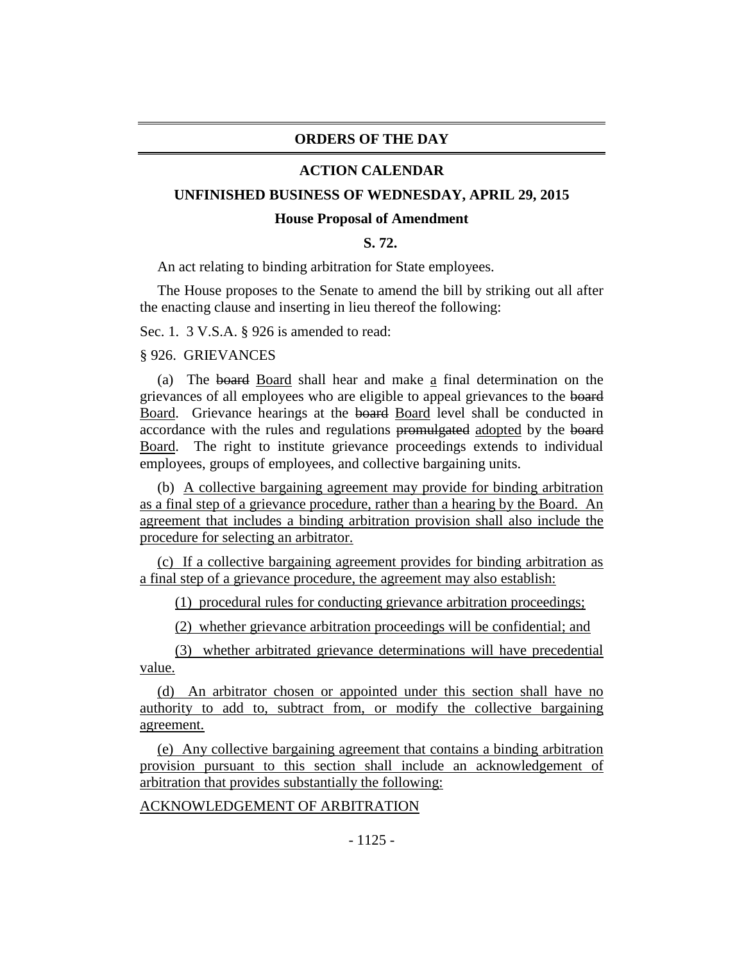#### **ORDERS OF THE DAY**

#### **ACTION CALENDAR**

#### **UNFINISHED BUSINESS OF WEDNESDAY, APRIL 29, 2015**

#### **House Proposal of Amendment**

## **S. 72.**

An act relating to binding arbitration for State employees.

The House proposes to the Senate to amend the bill by striking out all after the enacting clause and inserting in lieu thereof the following:

Sec. 1. 3 V.S.A. § 926 is amended to read:

§ 926. GRIEVANCES

(a) The board Board shall hear and make a final determination on the grievances of all employees who are eligible to appeal grievances to the board Board. Grievance hearings at the board Board level shall be conducted in accordance with the rules and regulations promulgated adopted by the board Board. The right to institute grievance proceedings extends to individual employees, groups of employees, and collective bargaining units.

(b) A collective bargaining agreement may provide for binding arbitration as a final step of a grievance procedure, rather than a hearing by the Board. An agreement that includes a binding arbitration provision shall also include the procedure for selecting an arbitrator.

(c) If a collective bargaining agreement provides for binding arbitration as a final step of a grievance procedure, the agreement may also establish:

(1) procedural rules for conducting grievance arbitration proceedings;

(2) whether grievance arbitration proceedings will be confidential; and

(3) whether arbitrated grievance determinations will have precedential value.

(d) An arbitrator chosen or appointed under this section shall have no authority to add to, subtract from, or modify the collective bargaining agreement.

(e) Any collective bargaining agreement that contains a binding arbitration provision pursuant to this section shall include an acknowledgement of arbitration that provides substantially the following:

## ACKNOWLEDGEMENT OF ARBITRATION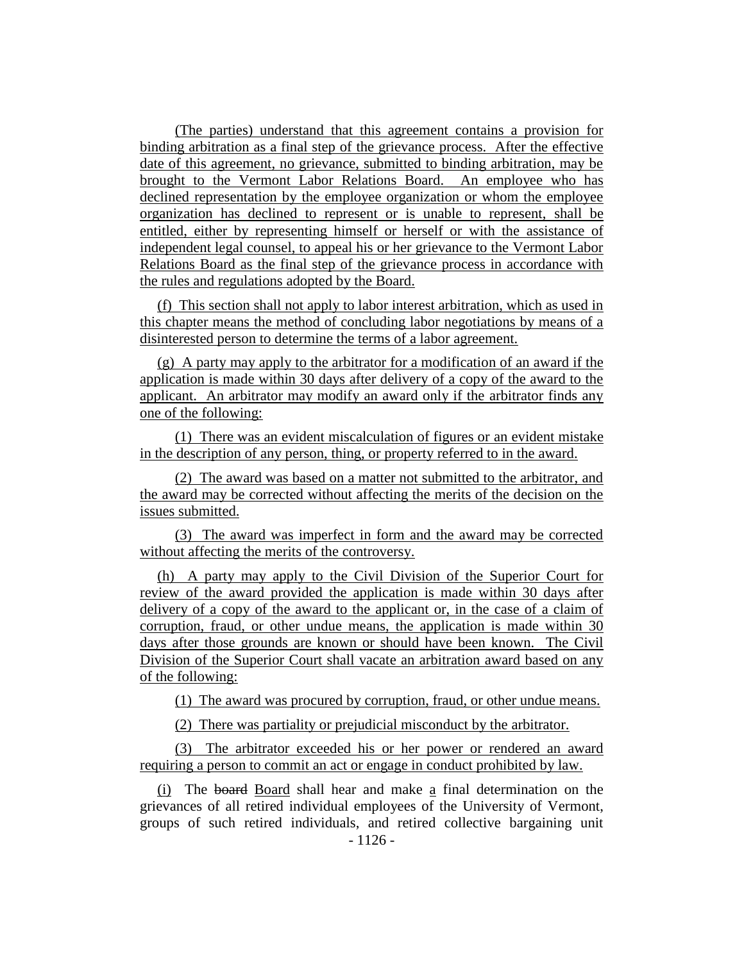(The parties) understand that this agreement contains a provision for binding arbitration as a final step of the grievance process. After the effective date of this agreement, no grievance, submitted to binding arbitration, may be brought to the Vermont Labor Relations Board. An employee who has declined representation by the employee organization or whom the employee organization has declined to represent or is unable to represent, shall be entitled, either by representing himself or herself or with the assistance of independent legal counsel, to appeal his or her grievance to the Vermont Labor Relations Board as the final step of the grievance process in accordance with the rules and regulations adopted by the Board.

(f) This section shall not apply to labor interest arbitration, which as used in this chapter means the method of concluding labor negotiations by means of a disinterested person to determine the terms of a labor agreement.

(g) A party may apply to the arbitrator for a modification of an award if the application is made within 30 days after delivery of a copy of the award to the applicant. An arbitrator may modify an award only if the arbitrator finds any one of the following:

(1) There was an evident miscalculation of figures or an evident mistake in the description of any person, thing, or property referred to in the award.

(2) The award was based on a matter not submitted to the arbitrator, and the award may be corrected without affecting the merits of the decision on the issues submitted.

(3) The award was imperfect in form and the award may be corrected without affecting the merits of the controversy.

(h) A party may apply to the Civil Division of the Superior Court for review of the award provided the application is made within 30 days after delivery of a copy of the award to the applicant or, in the case of a claim of corruption, fraud, or other undue means, the application is made within 30 days after those grounds are known or should have been known. The Civil Division of the Superior Court shall vacate an arbitration award based on any of the following:

(1) The award was procured by corruption, fraud, or other undue means.

(2) There was partiality or prejudicial misconduct by the arbitrator.

(3) The arbitrator exceeded his or her power or rendered an award requiring a person to commit an act or engage in conduct prohibited by law.

(i) The board Board shall hear and make a final determination on the grievances of all retired individual employees of the University of Vermont, groups of such retired individuals, and retired collective bargaining unit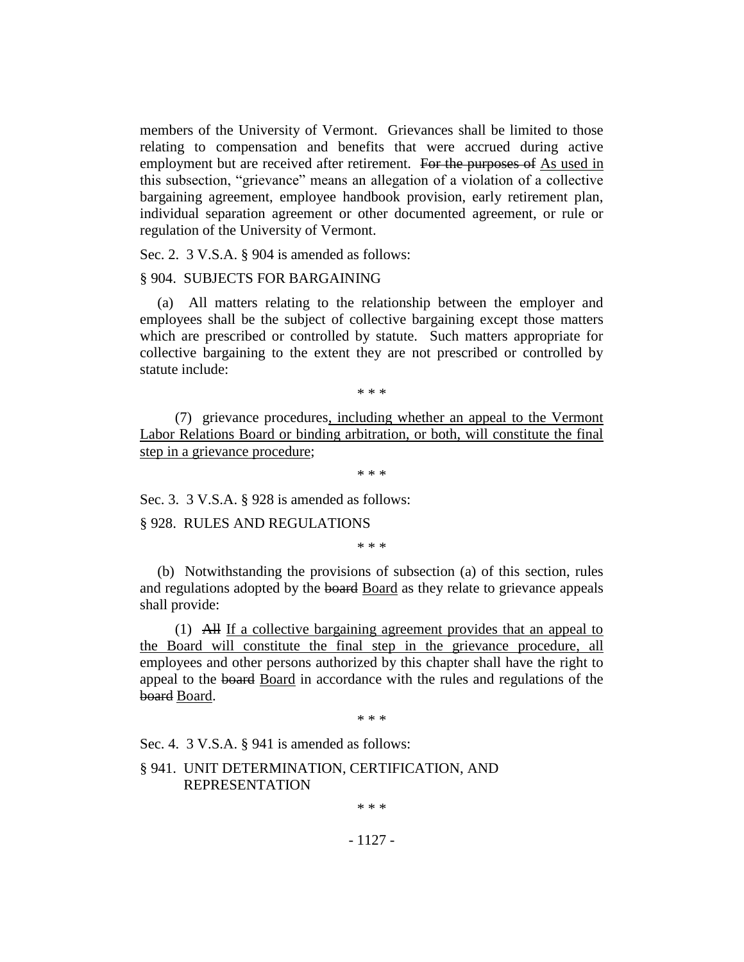members of the University of Vermont. Grievances shall be limited to those relating to compensation and benefits that were accrued during active employment but are received after retirement. For the purposes of As used in this subsection, "grievance" means an allegation of a violation of a collective bargaining agreement, employee handbook provision, early retirement plan, individual separation agreement or other documented agreement, or rule or regulation of the University of Vermont.

Sec. 2. 3 V.S.A. § 904 is amended as follows:

#### § 904. SUBJECTS FOR BARGAINING

(a) All matters relating to the relationship between the employer and employees shall be the subject of collective bargaining except those matters which are prescribed or controlled by statute. Such matters appropriate for collective bargaining to the extent they are not prescribed or controlled by statute include:

\* \* \*

(7) grievance procedures, including whether an appeal to the Vermont Labor Relations Board or binding arbitration, or both, will constitute the final step in a grievance procedure;

\* \* \*

Sec. 3. 3 V.S.A. § 928 is amended as follows:

§ 928. RULES AND REGULATIONS

\* \* \*

(b) Notwithstanding the provisions of subsection (a) of this section, rules and regulations adopted by the board Board as they relate to grievance appeals shall provide:

(1) All If a collective bargaining agreement provides that an appeal to the Board will constitute the final step in the grievance procedure, all employees and other persons authorized by this chapter shall have the right to appeal to the board Board in accordance with the rules and regulations of the board Board.

\* \* \*

Sec. 4. 3 V.S.A. § 941 is amended as follows:

## § 941. UNIT DETERMINATION, CERTIFICATION, AND REPRESENTATION

\* \* \*

- 1127 -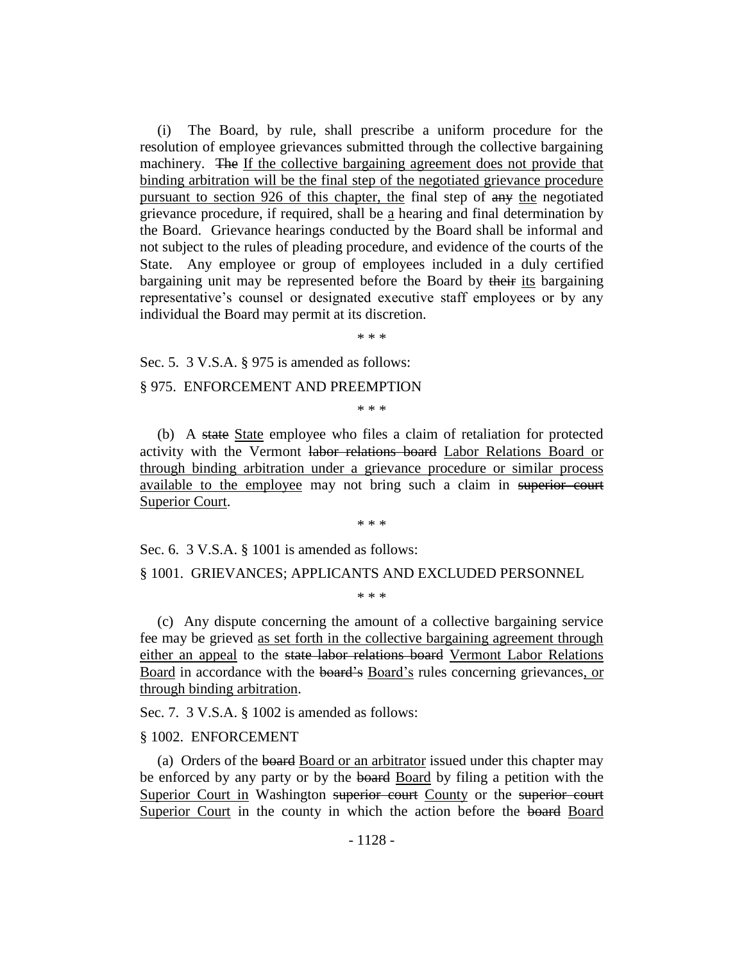(i) The Board, by rule, shall prescribe a uniform procedure for the resolution of employee grievances submitted through the collective bargaining machinery. The If the collective bargaining agreement does not provide that binding arbitration will be the final step of the negotiated grievance procedure pursuant to section 926 of this chapter, the final step of any the negotiated grievance procedure, if required, shall be  $\underline{a}$  hearing and final determination by the Board. Grievance hearings conducted by the Board shall be informal and not subject to the rules of pleading procedure, and evidence of the courts of the State. Any employee or group of employees included in a duly certified bargaining unit may be represented before the Board by their its bargaining representative's counsel or designated executive staff employees or by any individual the Board may permit at its discretion.

\* \* \*

Sec. 5. 3 V.S.A. § 975 is amended as follows:

§ 975. ENFORCEMENT AND PREEMPTION

\* \* \*

(b) A state State employee who files a claim of retaliation for protected activity with the Vermont labor relations board Labor Relations Board or through binding arbitration under a grievance procedure or similar process available to the employee may not bring such a claim in superior court Superior Court.

\* \* \*

Sec. 6. 3 V.S.A. § 1001 is amended as follows:

#### § 1001. GRIEVANCES; APPLICANTS AND EXCLUDED PERSONNEL

\* \* \*

(c) Any dispute concerning the amount of a collective bargaining service fee may be grieved as set forth in the collective bargaining agreement through either an appeal to the state labor relations board Vermont Labor Relations Board in accordance with the board's Board's rules concerning grievances, or through binding arbitration.

Sec. 7. 3 V.S.A. § 1002 is amended as follows:

#### § 1002. ENFORCEMENT

(a) Orders of the board Board or an arbitrator issued under this chapter may be enforced by any party or by the board Board by filing a petition with the Superior Court in Washington superior court County or the superior court Superior Court in the county in which the action before the board Board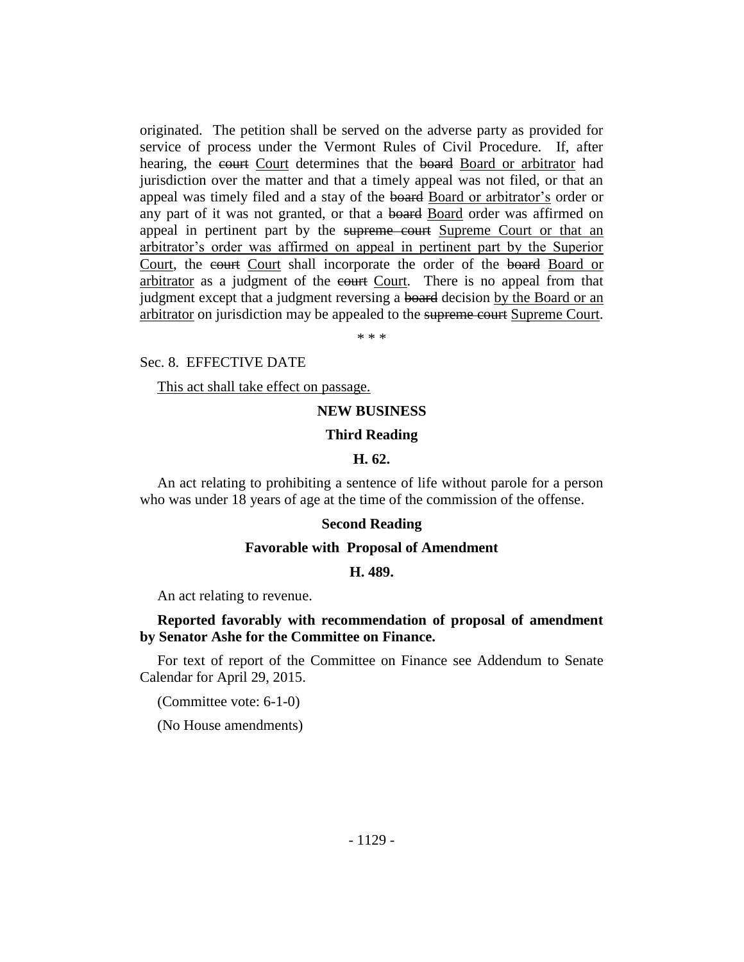originated. The petition shall be served on the adverse party as provided for service of process under the Vermont Rules of Civil Procedure. If, after hearing, the court Court determines that the board Board or arbitrator had jurisdiction over the matter and that a timely appeal was not filed, or that an appeal was timely filed and a stay of the board Board or arbitrator's order or any part of it was not granted, or that a board Board order was affirmed on appeal in pertinent part by the supreme court Supreme Court or that an arbitrator's order was affirmed on appeal in pertinent part by the Superior Court, the court Court shall incorporate the order of the board Board or arbitrator as a judgment of the court Court. There is no appeal from that judgment except that a judgment reversing a board decision by the Board or an arbitrator on jurisdiction may be appealed to the supreme court Supreme Court.

\* \* \*

#### Sec. 8. EFFECTIVE DATE

This act shall take effect on passage.

### **NEW BUSINESS**

#### **Third Reading**

#### **H. 62.**

An act relating to prohibiting a sentence of life without parole for a person who was under 18 years of age at the time of the commission of the offense.

#### **Second Reading**

#### **Favorable with Proposal of Amendment**

#### **H. 489.**

An act relating to revenue.

## **Reported favorably with recommendation of proposal of amendment by Senator Ashe for the Committee on Finance.**

For text of report of the Committee on Finance see Addendum to Senate Calendar for April 29, 2015.

(Committee vote: 6-1-0)

(No House amendments)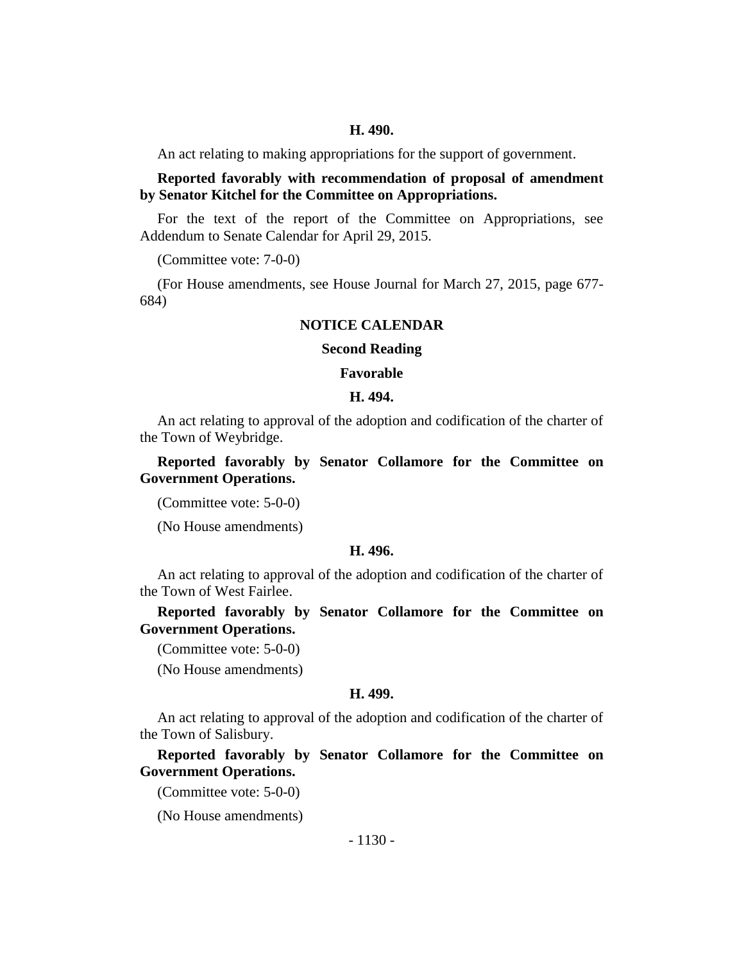#### **H. 490.**

An act relating to making appropriations for the support of government.

## **Reported favorably with recommendation of proposal of amendment by Senator Kitchel for the Committee on Appropriations.**

For the text of the report of the Committee on Appropriations, see Addendum to Senate Calendar for April 29, 2015.

(Committee vote: 7-0-0)

(For House amendments, see House Journal for March 27, 2015, page 677- 684)

## **NOTICE CALENDAR**

#### **Second Reading**

#### **Favorable**

#### **H. 494.**

An act relating to approval of the adoption and codification of the charter of the Town of Weybridge.

**Reported favorably by Senator Collamore for the Committee on Government Operations.**

(Committee vote: 5-0-0)

(No House amendments)

#### **H. 496.**

An act relating to approval of the adoption and codification of the charter of the Town of West Fairlee.

**Reported favorably by Senator Collamore for the Committee on Government Operations.**

(Committee vote: 5-0-0)

(No House amendments)

#### **H. 499.**

An act relating to approval of the adoption and codification of the charter of the Town of Salisbury.

**Reported favorably by Senator Collamore for the Committee on Government Operations.**

(Committee vote: 5-0-0)

(No House amendments)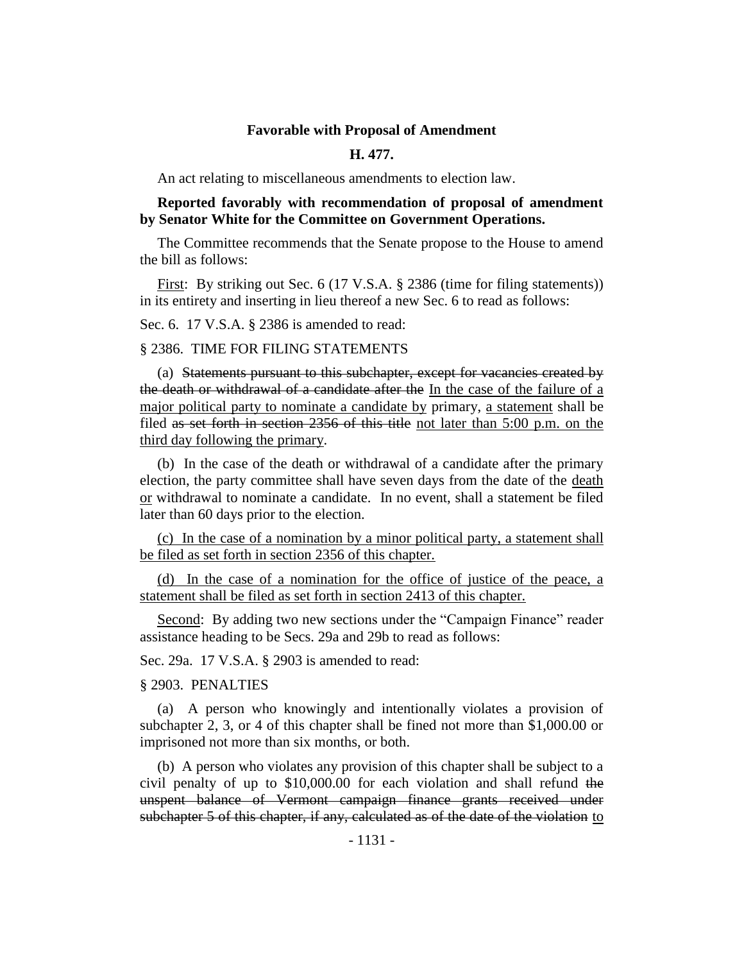#### **Favorable with Proposal of Amendment**

#### **H. 477.**

An act relating to miscellaneous amendments to election law.

## **Reported favorably with recommendation of proposal of amendment by Senator White for the Committee on Government Operations.**

The Committee recommends that the Senate propose to the House to amend the bill as follows:

First: By striking out Sec. 6 (17 V.S.A. § 2386 (time for filing statements)) in its entirety and inserting in lieu thereof a new Sec. 6 to read as follows:

Sec. 6. 17 V.S.A. § 2386 is amended to read:

#### § 2386. TIME FOR FILING STATEMENTS

(a) Statements pursuant to this subchapter, except for vacancies created by the death or withdrawal of a candidate after the In the case of the failure of a major political party to nominate a candidate by primary, a statement shall be filed as set forth in section 2356 of this title not later than 5:00 p.m. on the third day following the primary.

(b) In the case of the death or withdrawal of a candidate after the primary election, the party committee shall have seven days from the date of the death or withdrawal to nominate a candidate. In no event, shall a statement be filed later than 60 days prior to the election.

(c) In the case of a nomination by a minor political party, a statement shall be filed as set forth in section 2356 of this chapter.

(d) In the case of a nomination for the office of justice of the peace, a statement shall be filed as set forth in section 2413 of this chapter.

Second: By adding two new sections under the "Campaign Finance" reader assistance heading to be Secs. 29a and 29b to read as follows:

Sec. 29a. 17 V.S.A. § 2903 is amended to read:

§ 2903. PENALTIES

(a) A person who knowingly and intentionally violates a provision of subchapter 2, 3, or 4 of this chapter shall be fined not more than \$1,000.00 or imprisoned not more than six months, or both.

(b) A person who violates any provision of this chapter shall be subject to a civil penalty of up to \$10,000.00 for each violation and shall refund the unspent balance of Vermont campaign finance grants received under subchapter 5 of this chapter, if any, calculated as of the date of the violation to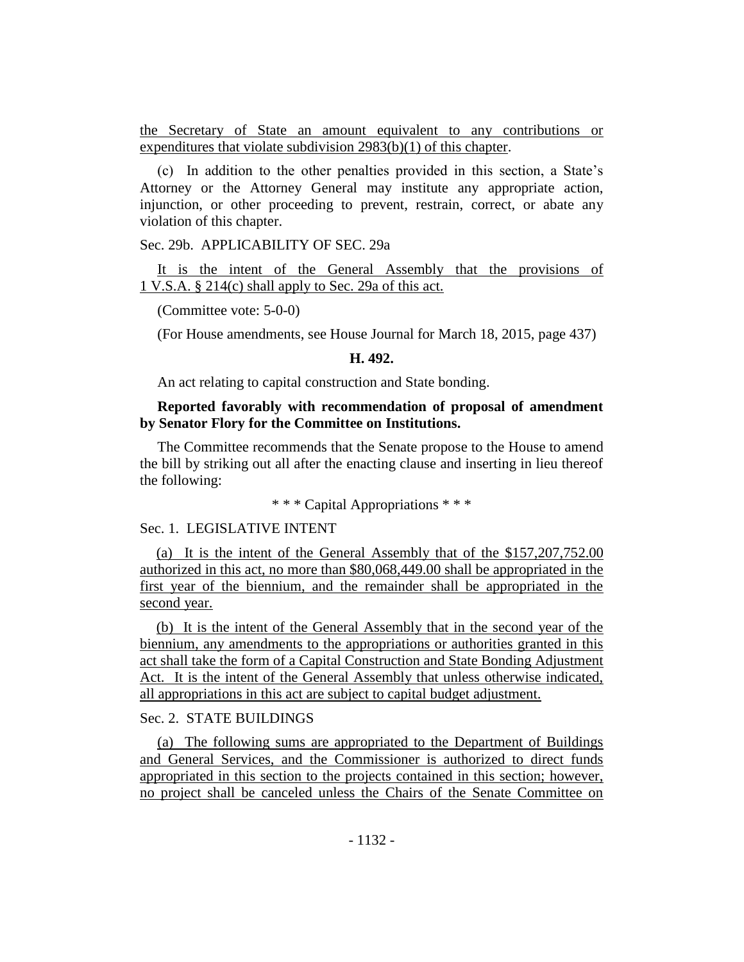the Secretary of State an amount equivalent to any contributions or expenditures that violate subdivision 2983(b)(1) of this chapter.

(c) In addition to the other penalties provided in this section, a State's Attorney or the Attorney General may institute any appropriate action, injunction, or other proceeding to prevent, restrain, correct, or abate any violation of this chapter.

Sec. 29b. APPLICABILITY OF SEC. 29a

It is the intent of the General Assembly that the provisions of 1 V.S.A. § 214(c) shall apply to Sec. 29a of this act.

(Committee vote: 5-0-0)

(For House amendments, see House Journal for March 18, 2015, page 437)

#### **H. 492.**

An act relating to capital construction and State bonding.

## **Reported favorably with recommendation of proposal of amendment by Senator Flory for the Committee on Institutions.**

The Committee recommends that the Senate propose to the House to amend the bill by striking out all after the enacting clause and inserting in lieu thereof the following:

\* \* \* Capital Appropriations \* \* \*

#### Sec. 1. LEGISLATIVE INTENT

(a) It is the intent of the General Assembly that of the \$157,207,752.00 authorized in this act, no more than \$80,068,449.00 shall be appropriated in the first year of the biennium, and the remainder shall be appropriated in the second year.

(b) It is the intent of the General Assembly that in the second year of the biennium, any amendments to the appropriations or authorities granted in this act shall take the form of a Capital Construction and State Bonding Adjustment Act. It is the intent of the General Assembly that unless otherwise indicated, all appropriations in this act are subject to capital budget adjustment.

## Sec. 2. STATE BUILDINGS

(a) The following sums are appropriated to the Department of Buildings and General Services, and the Commissioner is authorized to direct funds appropriated in this section to the projects contained in this section; however, no project shall be canceled unless the Chairs of the Senate Committee on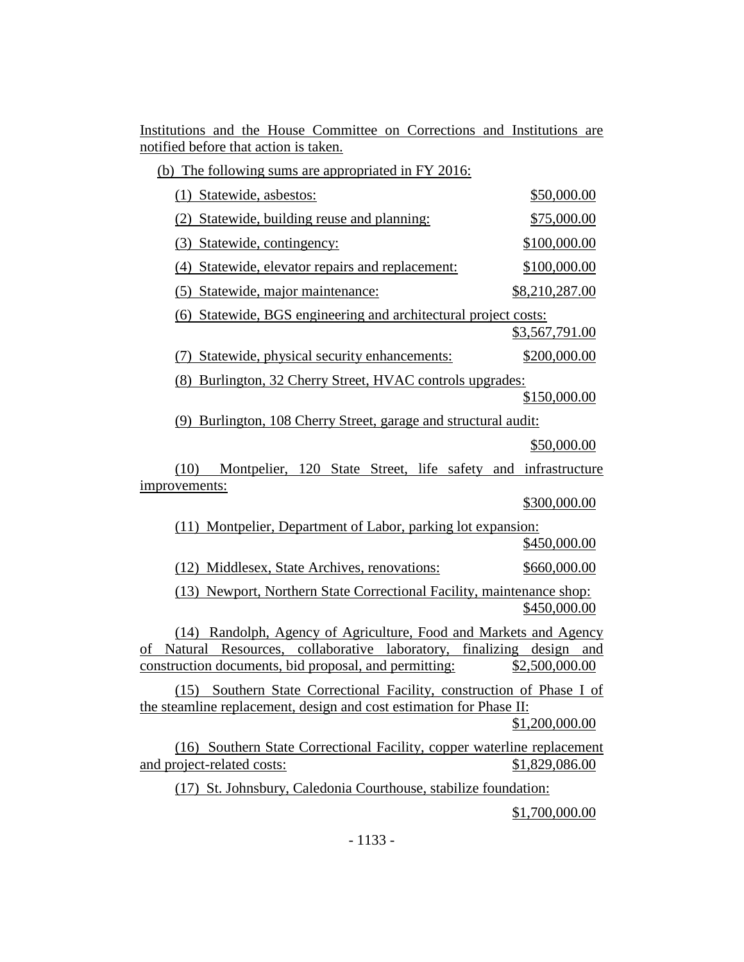|                                       |  |  | Institutions and the House Committee on Corrections and Institutions are |  |  |
|---------------------------------------|--|--|--------------------------------------------------------------------------|--|--|
| notified before that action is taken. |  |  |                                                                          |  |  |

| (b) The following sums are appropriated in FY 2016:                                                                                                                                                       |                |
|-----------------------------------------------------------------------------------------------------------------------------------------------------------------------------------------------------------|----------------|
| (1) Statewide, asbestos:                                                                                                                                                                                  | \$50,000.00    |
| (2) Statewide, building reuse and planning:                                                                                                                                                               | \$75,000.00    |
| (3) Statewide, contingency:                                                                                                                                                                               | \$100,000.00   |
| (4) Statewide, elevator repairs and replacement:                                                                                                                                                          | \$100,000.00   |
| (5) Statewide, major maintenance:                                                                                                                                                                         | \$8,210,287.00 |
| (6) Statewide, BGS engineering and architectural project costs:                                                                                                                                           |                |
|                                                                                                                                                                                                           | \$3,567,791.00 |
| (7) Statewide, physical security enhancements:                                                                                                                                                            | \$200,000.00   |
| (8) Burlington, 32 Cherry Street, HVAC controls upgrades:                                                                                                                                                 |                |
|                                                                                                                                                                                                           | \$150,000.00   |
| (9) Burlington, 108 Cherry Street, garage and structural audit:                                                                                                                                           |                |
|                                                                                                                                                                                                           | \$50,000.00    |
| Montpelier, 120 State Street, life safety and infrastructure<br>(10)                                                                                                                                      |                |
| improvements:                                                                                                                                                                                             |                |
|                                                                                                                                                                                                           | \$300,000.00   |
| (11) Montpelier, Department of Labor, parking lot expansion:                                                                                                                                              |                |
|                                                                                                                                                                                                           | \$450,000.00   |
| (12) Middlesex, State Archives, renovations:                                                                                                                                                              | \$660,000.00   |
| (13) Newport, Northern State Correctional Facility, maintenance shop:                                                                                                                                     | \$450,000.00   |
| (14) Randolph, Agency of Agriculture, Food and Markets and Agency<br>Resources, collaborative laboratory, finalizing design and<br>Natural<br>of<br>construction documents, bid proposal, and permitting: | \$2,500,000.00 |
| (15) Southern State Correctional Facility, construction of Phase I of<br>the steamline replacement, design and cost estimation for Phase II:                                                              | \$1,200,000.00 |
| (16) Southern State Correctional Facility, copper waterline replacement<br>and project-related costs:                                                                                                     | \$1,829,086.00 |
| (17) St. Johnsbury, Caledonia Courthouse, stabilize foundation:                                                                                                                                           |                |

\$1,700,000.00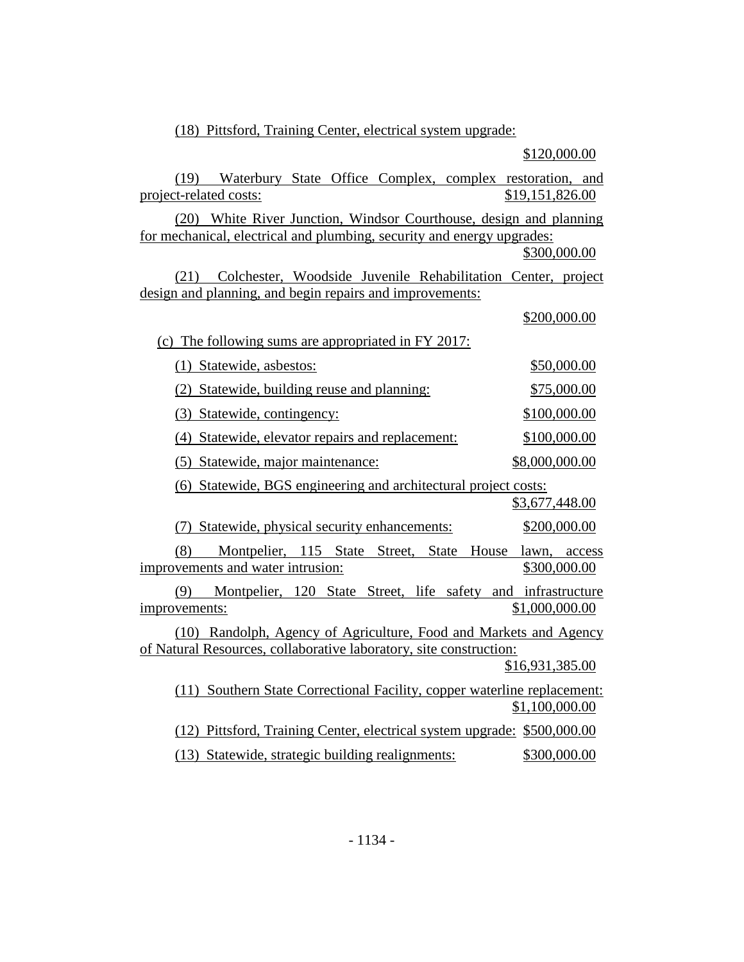(18) Pittsford, Training Center, electrical system upgrade:

(19) Waterbury State Office Complex, complex restoration, and project-related costs:  $$19,151,826.00$ (20) White River Junction, Windsor Courthouse, design and planning for mechanical, electrical and plumbing, security and energy upgrades: \$300,000.00 (21) Colchester, Woodside Juvenile Rehabilitation Center, project design and planning, and begin repairs and improvements: \$200,000.00 (c) The following sums are appropriated in FY 2017: (1) Statewide, asbestos: \$50,000.00 (2) Statewide, building reuse and planning: \$75,000.00 (3) Statewide, contingency: \$100,000.00 (4) Statewide, elevator repairs and replacement: \$100,000.00 (5) Statewide, major maintenance: \$8,000,000.00 (6) Statewide, BGS engineering and architectural project costs: \$3,677,448.00 (7) Statewide, physical security enhancements: \$200,000.00 (8) Montpelier, 115 State Street, State House lawn, access improvements and water intrusion: \$300,000.00 (9) Montpelier, 120 State Street, life safety and infrastructure improvements: \$1,000,000.00 (10) Randolph, Agency of Agriculture, Food and Markets and Agency of Natural Resources, collaborative laboratory, site construction: \$16,931,385.00 (11) Southern State Correctional Facility, copper waterline replacement: \$1,100,000.00 (12) Pittsford, Training Center, electrical system upgrade: \$500,000.00 (13) Statewide, strategic building realignments: \$300,000.00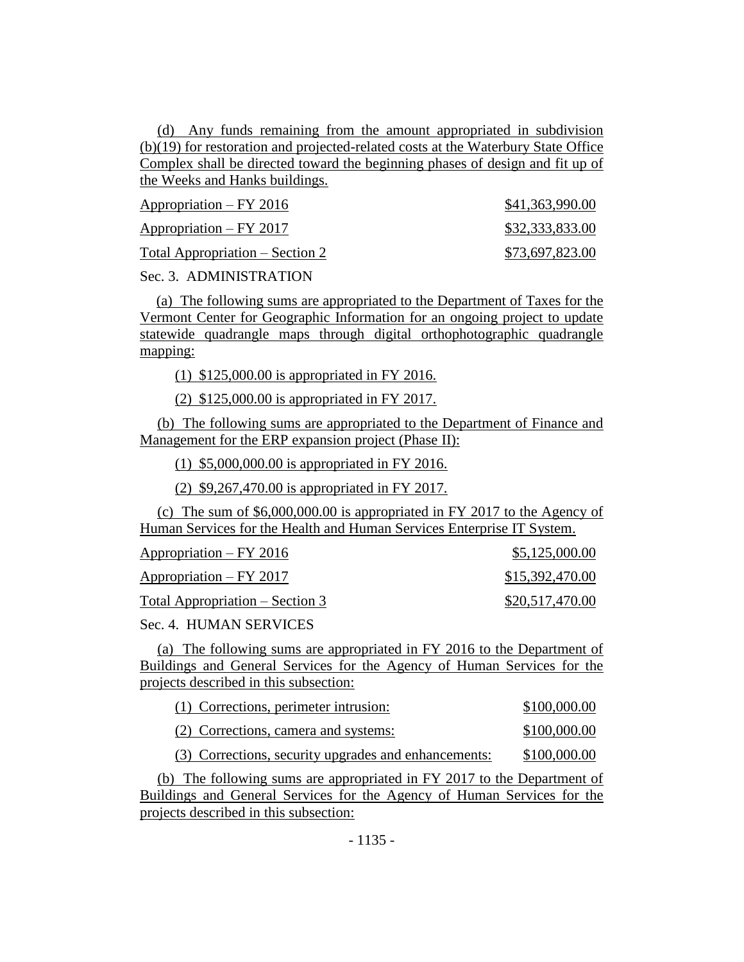(d) Any funds remaining from the amount appropriated in subdivision (b)(19) for restoration and projected-related costs at the Waterbury State Office Complex shall be directed toward the beginning phases of design and fit up of the Weeks and Hanks buildings.

| Appropriation – FY 2016         | \$41,363,990.00 |
|---------------------------------|-----------------|
| $Approxination - FY 2017$       | \$32,333,833.00 |
| Total Appropriation – Section 2 | \$73,697,823.00 |

Sec. 3. ADMINISTRATION

(a) The following sums are appropriated to the Department of Taxes for the Vermont Center for Geographic Information for an ongoing project to update statewide quadrangle maps through digital orthophotographic quadrangle mapping:

(1) \$125,000.00 is appropriated in FY 2016.

(2) \$125,000.00 is appropriated in FY 2017.

(b) The following sums are appropriated to the Department of Finance and Management for the ERP expansion project (Phase II):

(1) \$5,000,000.00 is appropriated in FY 2016.

(2) \$9,267,470.00 is appropriated in FY 2017.

(c) The sum of \$6,000,000.00 is appropriated in FY 2017 to the Agency of Human Services for the Health and Human Services Enterprise IT System.

| Appropriation – FY 2016         | \$5,125,000.00  |
|---------------------------------|-----------------|
| Appropriation – FY 2017         | \$15,392,470.00 |
| Total Appropriation – Section 3 | \$20,517,470.00 |

Sec. 4. HUMAN SERVICES

(a) The following sums are appropriated in FY 2016 to the Department of Buildings and General Services for the Agency of Human Services for the projects described in this subsection:

| (1) Corrections, perimeter intrusion: | \$100,000.00 |
|---------------------------------------|--------------|
| (2) Corrections, camera and systems:  | \$100,000.00 |

(3) Corrections, security upgrades and enhancements: \$100,000.00

(b) The following sums are appropriated in FY 2017 to the Department of Buildings and General Services for the Agency of Human Services for the projects described in this subsection: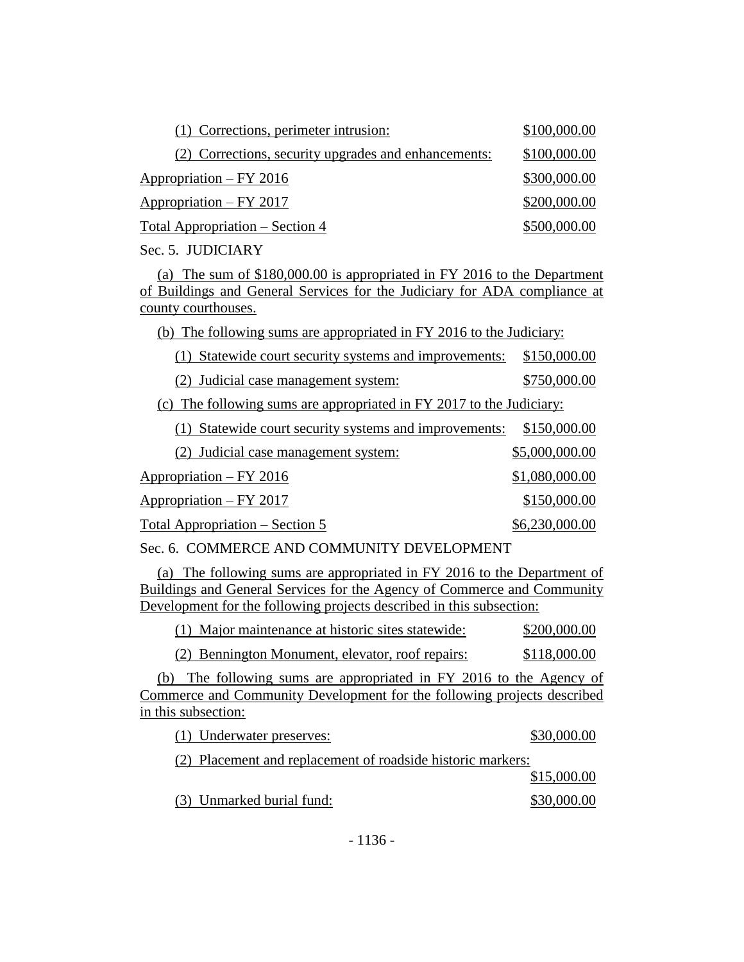| (1) Corrections, perimeter intrusion:                | \$100,000.00 |
|------------------------------------------------------|--------------|
| (2) Corrections, security upgrades and enhancements: | \$100,000.00 |
| Appropriation – FY 2016                              | \$300,000.00 |
| Appropriation – FY 2017                              | \$200,000.00 |
| Total Appropriation – Section 4                      | \$500,000.00 |

Sec. 5. JUDICIARY

(a) The sum of \$180,000.00 is appropriated in FY 2016 to the Department of Buildings and General Services for the Judiciary for ADA compliance at county courthouses.

(b) The following sums are appropriated in FY 2016 to the Judiciary:

|  | (1) Statewide court security systems and improvements: \$150,000.00 |  |
|--|---------------------------------------------------------------------|--|
|  |                                                                     |  |

(2) Judicial case management system: \$750,000.00

(c) The following sums are appropriated in FY 2017 to the Judiciary:

| (1) Statewide court security systems and improvements: | \$150,000.00   |
|--------------------------------------------------------|----------------|
| (2) Judicial case management system:                   | \$5,000,000.00 |
| Appropriation – FY 2016                                | \$1,080,000.00 |
| $Approxination - FY 2017$                              | \$150,000.00   |
| <u> Total Appropriation – Section 5</u>                | \$6,230,000.00 |

Sec. 6. COMMERCE AND COMMUNITY DEVELOPMENT

(a) The following sums are appropriated in FY 2016 to the Department of Buildings and General Services for the Agency of Commerce and Community Development for the following projects described in this subsection:

|  | (1) Major maintenance at historic sites statewide: |  | \$200,000.00 |
|--|----------------------------------------------------|--|--------------|
|  |                                                    |  |              |

(2) Bennington Monument, elevator, roof repairs: \$118,000.00

(b) The following sums are appropriated in FY 2016 to the Agency of Commerce and Community Development for the following projects described in this subsection:

| (1) Underwater preserves:                                   | \$30,000.00 |
|-------------------------------------------------------------|-------------|
| (2) Placement and replacement of roadside historic markers: |             |
|                                                             | \$15,000.00 |
| (3) Unmarked burial fund:                                   | \$30,000.00 |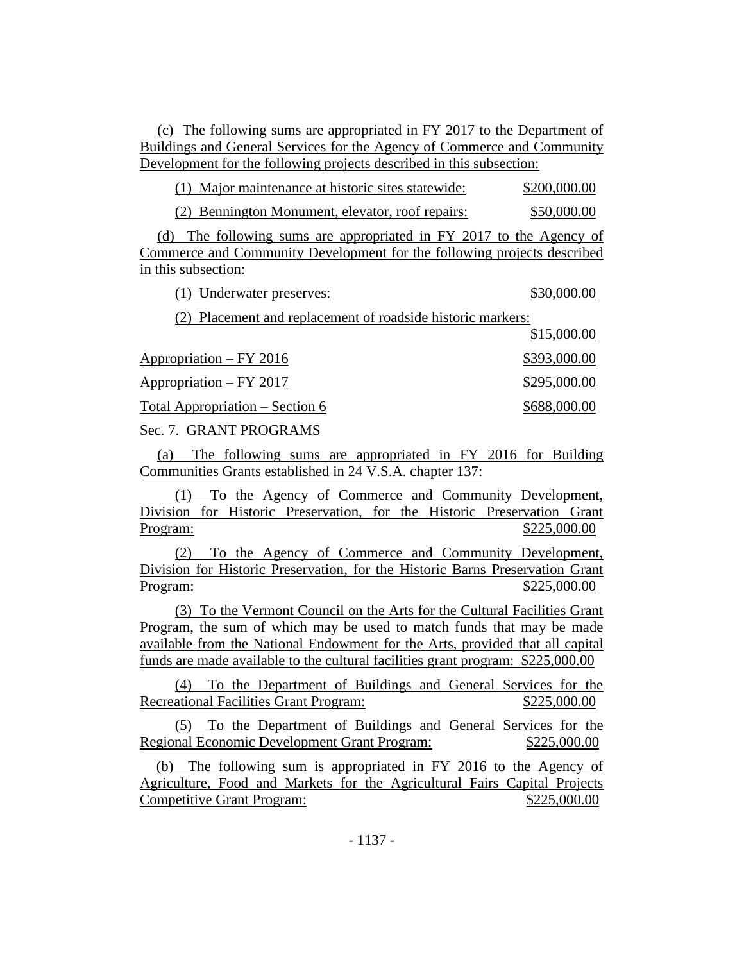(c) The following sums are appropriated in FY 2017 to the Department of Buildings and General Services for the Agency of Commerce and Community Development for the following projects described in this subsection:

| (1) Major maintenance at historic sites statewide: | \$200,000.00 |
|----------------------------------------------------|--------------|
|----------------------------------------------------|--------------|

(2) Bennington Monument, elevator, roof repairs: \$50,000.00

(d) The following sums are appropriated in FY 2017 to the Agency of Commerce and Community Development for the following projects described in this subsection:

(1) Underwater preserves: \$30,000.00

(2) Placement and replacement of roadside historic markers:  $\sigma$ <sub>15</sub>,000.00

|                                 | 0.000.000    |
|---------------------------------|--------------|
| $Approxation - FY 2016$         | \$393,000.00 |
| $Approxation - FY 2017$         | \$295,000.00 |
| Total Appropriation – Section 6 | \$688,000.00 |

Sec. 7. GRANT PROGRAMS

(a) The following sums are appropriated in FY 2016 for Building Communities Grants established in 24 V.S.A. chapter 137:

(1) To the Agency of Commerce and Community Development, Division for Historic Preservation, for the Historic Preservation Grant Program: \$225,000.00

(2) To the Agency of Commerce and Community Development, Division for Historic Preservation, for the Historic Barns Preservation Grant Program: \$225,000.00

(3) To the Vermont Council on the Arts for the Cultural Facilities Grant Program, the sum of which may be used to match funds that may be made available from the National Endowment for the Arts, provided that all capital funds are made available to the cultural facilities grant program: \$225,000.00

(4) To the Department of Buildings and General Services for the Recreational Facilities Grant Program:  $$225,000.00$ 

(5) To the Department of Buildings and General Services for the Regional Economic Development Grant Program: \$225,000.00

(b) The following sum is appropriated in FY 2016 to the Agency of Agriculture, Food and Markets for the Agricultural Fairs Capital Projects Competitive Grant Program: \$225,000.00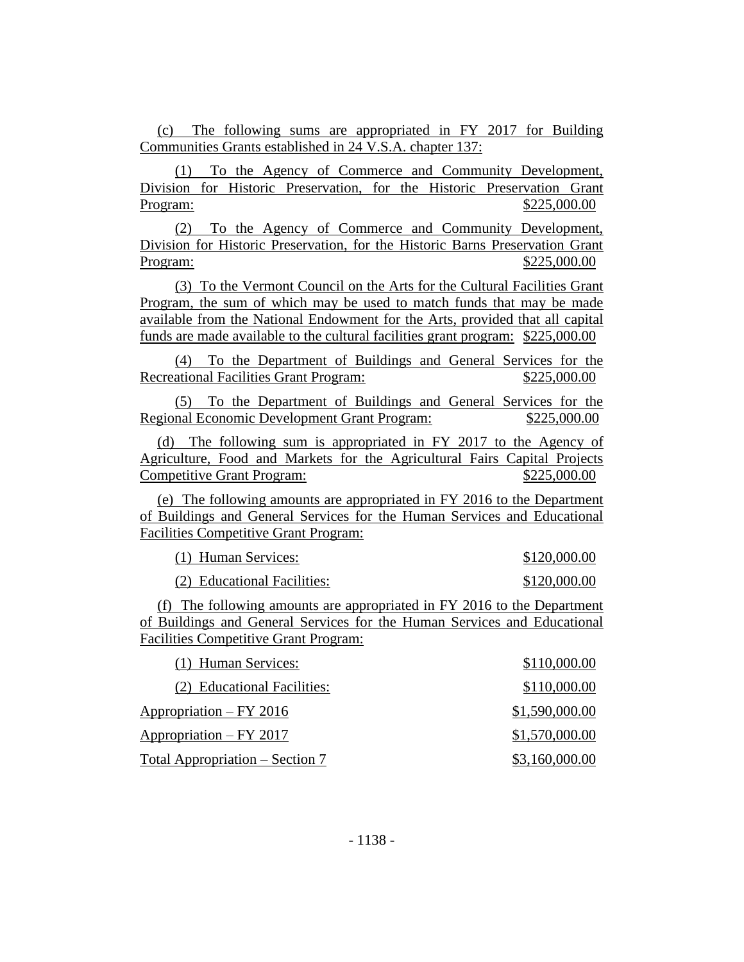(c) The following sums are appropriated in FY 2017 for Building Communities Grants established in 24 V.S.A. chapter 137:

(1) To the Agency of Commerce and Community Development, Division for Historic Preservation, for the Historic Preservation Grant Program: \$225,000.00

(2) To the Agency of Commerce and Community Development, Division for Historic Preservation, for the Historic Barns Preservation Grant Program: \$225,000.00

(3) To the Vermont Council on the Arts for the Cultural Facilities Grant Program, the sum of which may be used to match funds that may be made available from the National Endowment for the Arts, provided that all capital funds are made available to the cultural facilities grant program: \$225,000.00

(4) To the Department of Buildings and General Services for the Recreational Facilities Grant Program:  $$225,000.00$ 

(5) To the Department of Buildings and General Services for the Regional Economic Development Grant Program: \$225,000.00

(d) The following sum is appropriated in FY 2017 to the Agency of Agriculture, Food and Markets for the Agricultural Fairs Capital Projects Competitive Grant Program: \$225,000.00

(e) The following amounts are appropriated in FY 2016 to the Department of Buildings and General Services for the Human Services and Educational Facilities Competitive Grant Program:

(1) Human Services: \$120,000.00 (2) Educational Facilities: \$120,000.00

(f) The following amounts are appropriated in FY 2016 to the Department of Buildings and General Services for the Human Services and Educational Facilities Competitive Grant Program:

| (1) Human Services:             | \$110,000.00   |
|---------------------------------|----------------|
| (2) Educational Facilities:     | \$110,000.00   |
| Appropriation – FY 2016         | \$1,590,000.00 |
| Appropriation – FY 2017         | \$1,570,000.00 |
| Total Appropriation – Section 7 | \$3,160,000.00 |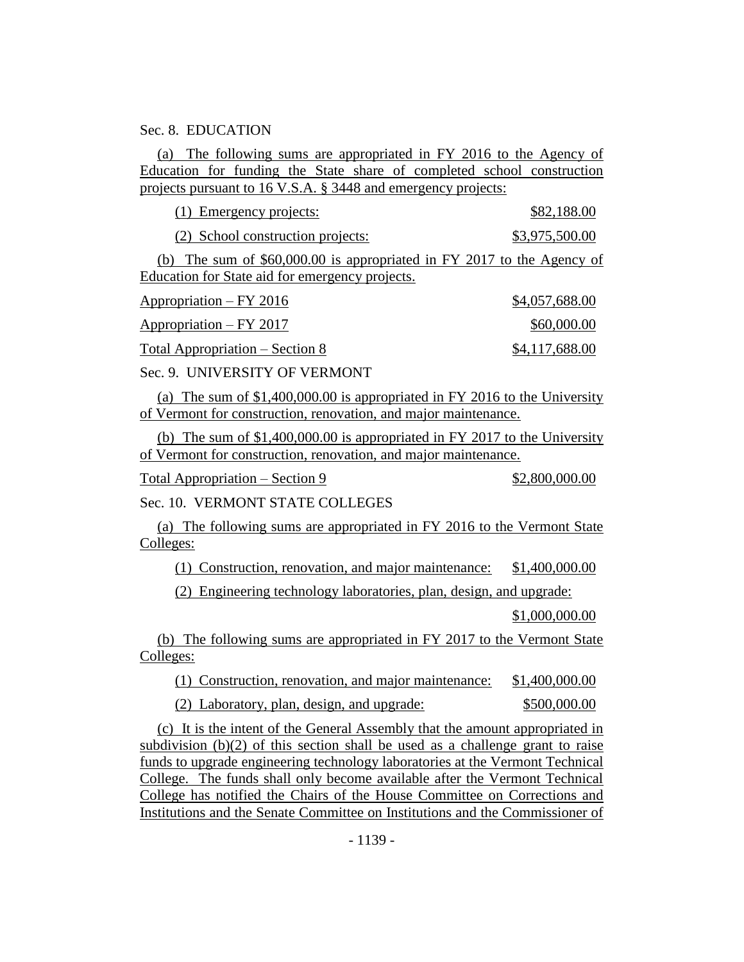#### Sec. 8. EDUCATION

(a) The following sums are appropriated in FY 2016 to the Agency of Education for funding the State share of completed school construction projects pursuant to 16 V.S.A. § 3448 and emergency projects:

(1) Emergency projects: \$82,188.00

(2) School construction projects: \$3,975,500.00

(b) The sum of \$60,000.00 is appropriated in FY 2017 to the Agency of Education for State aid for emergency projects.

| Appropriation – FY 2016         | \$4,057,688.00 |
|---------------------------------|----------------|
| Appropriation – FY 2017         | \$60,000.00    |
| Total Appropriation – Section 8 | \$4,117,688.00 |

Sec. 9. UNIVERSITY OF VERMONT

(a) The sum of \$1,400,000.00 is appropriated in FY 2016 to the University of Vermont for construction, renovation, and major maintenance.

(b) The sum of \$1,400,000.00 is appropriated in FY 2017 to the University of Vermont for construction, renovation, and major maintenance.

 $Total Approximation - Section 9$  \$2,800,000.00

Sec. 10. VERMONT STATE COLLEGES

(a) The following sums are appropriated in FY 2016 to the Vermont State Colleges:

(1) Construction, renovation, and major maintenance: \$1,400,000.00

(2) Engineering technology laboratories, plan, design, and upgrade:

\$1,000,000.00

(b) The following sums are appropriated in FY 2017 to the Vermont State Colleges:

(1) Construction, renovation, and major maintenance: \$1,400,000.00

(2) Laboratory, plan, design, and upgrade: \$500,000.00

(c) It is the intent of the General Assembly that the amount appropriated in subdivision (b)(2) of this section shall be used as a challenge grant to raise funds to upgrade engineering technology laboratories at the Vermont Technical College. The funds shall only become available after the Vermont Technical College has notified the Chairs of the House Committee on Corrections and Institutions and the Senate Committee on Institutions and the Commissioner of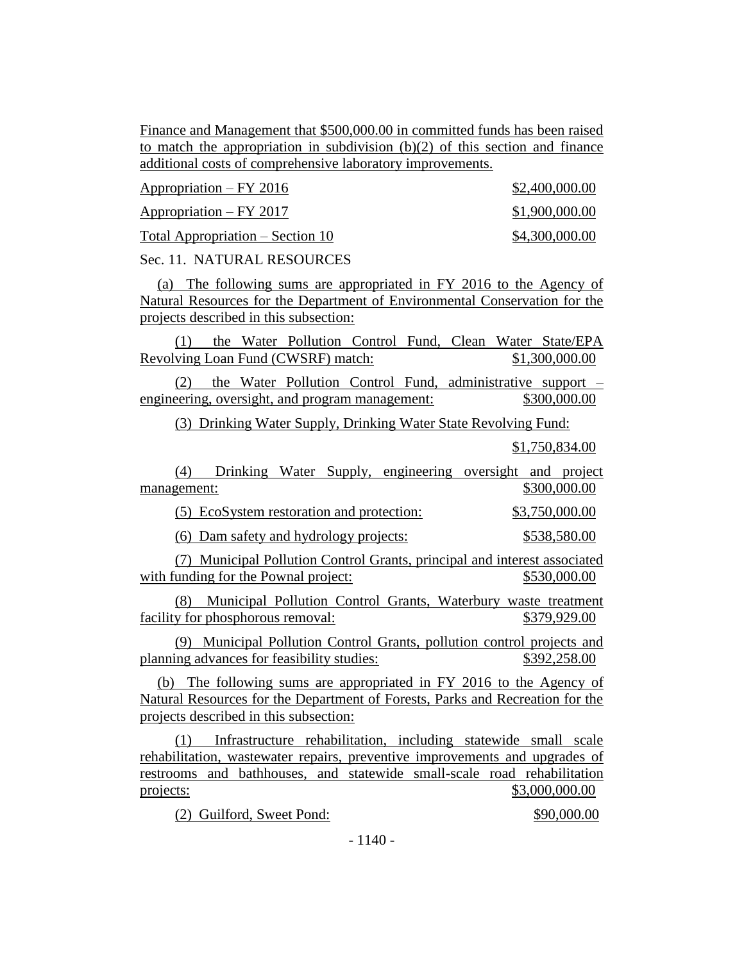Finance and Management that \$500,000.00 in committed funds has been raised to match the appropriation in subdivision  $(b)(2)$  of this section and finance additional costs of comprehensive laboratory improvements.

Appropriation – FY 2016 \$2,400,000.00 Appropriation – FY 2017 \$1,900,000.00  $Total Approximation - Section 10$  \$4,300,000.00

Sec. 11. NATURAL RESOURCES

(a) The following sums are appropriated in FY 2016 to the Agency of Natural Resources for the Department of Environmental Conservation for the projects described in this subsection:

(1) the Water Pollution Control Fund, Clean Water State/EPA Revolving Loan Fund (CWSRF) match: \$1,300,000.00

(2) the Water Pollution Control Fund, administrative support – engineering, oversight, and program management: \$300,000.00

(3) Drinking Water Supply, Drinking Water State Revolving Fund:

\$1,750,834.00

(4) Drinking Water Supply, engineering oversight and project management: \$300,000.00

(5) EcoSystem restoration and protection: \$3,750,000.00

(6) Dam safety and hydrology projects: \$538,580.00

(7) Municipal Pollution Control Grants, principal and interest associated with funding for the Pownal project:  $$530,000.00$ 

(8) Municipal Pollution Control Grants, Waterbury waste treatment facility for phosphorous removal:  $$379,929.00$ 

(9) Municipal Pollution Control Grants, pollution control projects and planning advances for feasibility studies: \$392,258.00

(b) The following sums are appropriated in FY 2016 to the Agency of Natural Resources for the Department of Forests, Parks and Recreation for the projects described in this subsection:

(1) Infrastructure rehabilitation, including statewide small scale rehabilitation, wastewater repairs, preventive improvements and upgrades of restrooms and bathhouses, and statewide small-scale road rehabilitation projects: \$3,000,000.00

(2) Guilford, Sweet Pond: \$90,000.00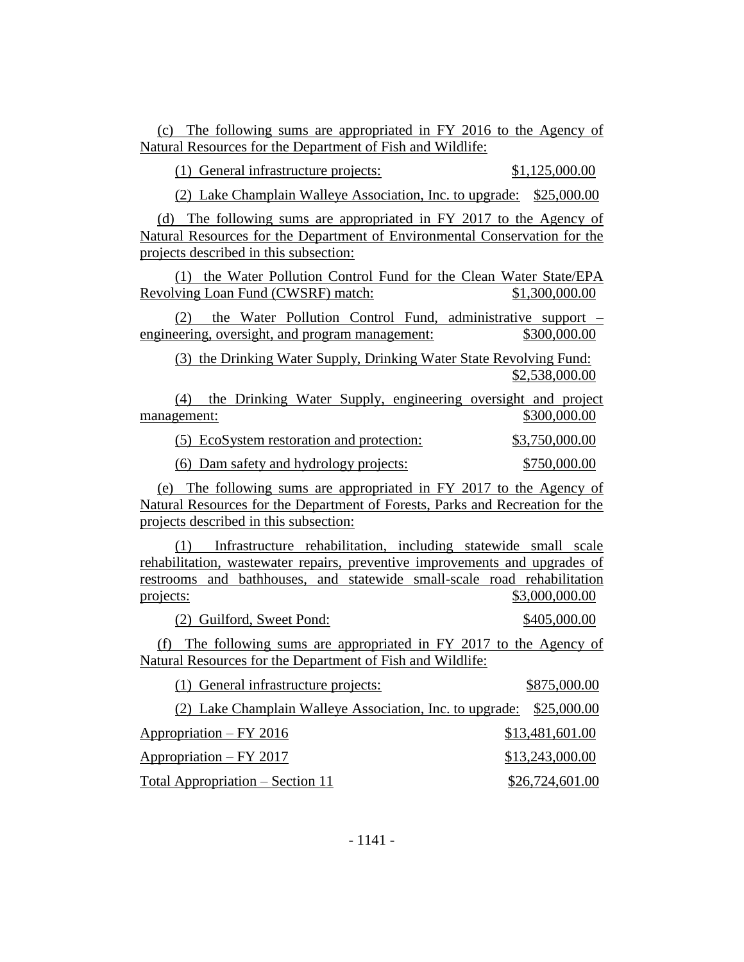(c) The following sums are appropriated in FY 2016 to the Agency of Natural Resources for the Department of Fish and Wildlife:

(1) General infrastructure projects: \$1,125,000.00

(2) Lake Champlain Walleye Association, Inc. to upgrade: \$25,000.00

(d) The following sums are appropriated in FY 2017 to the Agency of Natural Resources for the Department of Environmental Conservation for the projects described in this subsection:

(1) the Water Pollution Control Fund for the Clean Water State/EPA Revolving Loan Fund (CWSRF) match: \$1,300,000.00

(2) the Water Pollution Control Fund, administrative support – engineering, oversight, and program management:  $$300,000.00$ 

(3) the Drinking Water Supply, Drinking Water State Revolving Fund: \$2,538,000.00

(4) the Drinking Water Supply, engineering oversight and project management: \$300,000.00

(5) EcoSystem restoration and protection: \$3,750,000.00

(6) Dam safety and hydrology projects: \$750,000.00

(e) The following sums are appropriated in FY 2017 to the Agency of Natural Resources for the Department of Forests, Parks and Recreation for the projects described in this subsection:

(1) Infrastructure rehabilitation, including statewide small scale rehabilitation, wastewater repairs, preventive improvements and upgrades of restrooms and bathhouses, and statewide small-scale road rehabilitation projects: \$3,000,000.00

(2) Guilford, Sweet Pond: \$405,000.00

(f) The following sums are appropriated in FY 2017 to the Agency of Natural Resources for the Department of Fish and Wildlife:

| (1) General infrastructure projects:                                 | \$875,000.00    |
|----------------------------------------------------------------------|-----------------|
| (2) Lake Champlain Walleye Association, Inc. to upgrade: \$25,000.00 |                 |
| Appropriation – FY 2016                                              | \$13,481,601.00 |
| Appropriation – FY 2017                                              | \$13,243,000.00 |
| Total Appropriation – Section 11                                     | \$26,724,601.00 |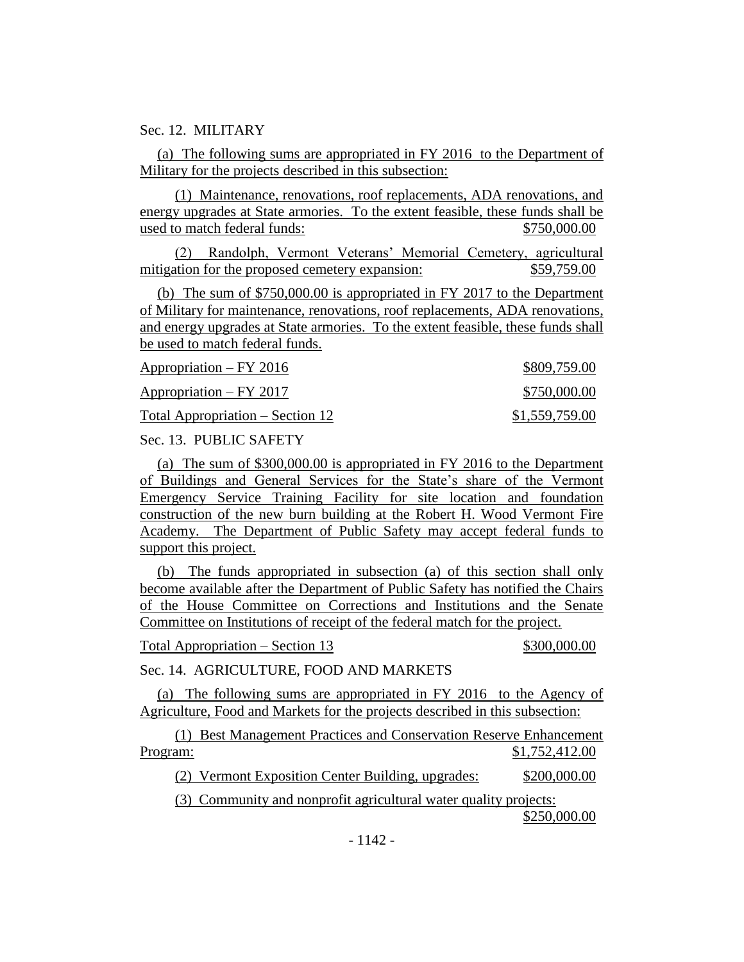Sec. 12. MILITARY

(a) The following sums are appropriated in FY 2016 to the Department of Military for the projects described in this subsection:

(1) Maintenance, renovations, roof replacements, ADA renovations, and energy upgrades at State armories. To the extent feasible, these funds shall be used to match federal funds: \$750,000.00

(2) Randolph, Vermont Veterans' Memorial Cemetery, agricultural mitigation for the proposed cemetery expansion:  $$59,759.00$ 

(b) The sum of \$750,000.00 is appropriated in FY 2017 to the Department of Military for maintenance, renovations, roof replacements, ADA renovations, and energy upgrades at State armories. To the extent feasible, these funds shall be used to match federal funds.

| $Approxation - FY 2016$          | \$809,759.00   |
|----------------------------------|----------------|
| $Approxation - FY 2017$          | \$750,000.00   |
| Total Appropriation – Section 12 | \$1,559,759.00 |

Sec. 13. PUBLIC SAFETY

(a) The sum of \$300,000.00 is appropriated in FY 2016 to the Department of Buildings and General Services for the State's share of the Vermont Emergency Service Training Facility for site location and foundation construction of the new burn building at the Robert H. Wood Vermont Fire Academy. The Department of Public Safety may accept federal funds to support this project.

(b) The funds appropriated in subsection (a) of this section shall only become available after the Department of Public Safety has notified the Chairs of the House Committee on Corrections and Institutions and the Senate Committee on Institutions of receipt of the federal match for the project.

Total Appropriation – Section 13  $$300,000.00$ 

Sec. 14. AGRICULTURE, FOOD AND MARKETS

(a) The following sums are appropriated in FY 2016 to the Agency of Agriculture, Food and Markets for the projects described in this subsection:

(1) Best Management Practices and Conservation Reserve Enhancement Program: \$1,752,412.00

(2) Vermont Exposition Center Building, upgrades: \$200,000.00

(3) Community and nonprofit agricultural water quality projects:

\$250,000.00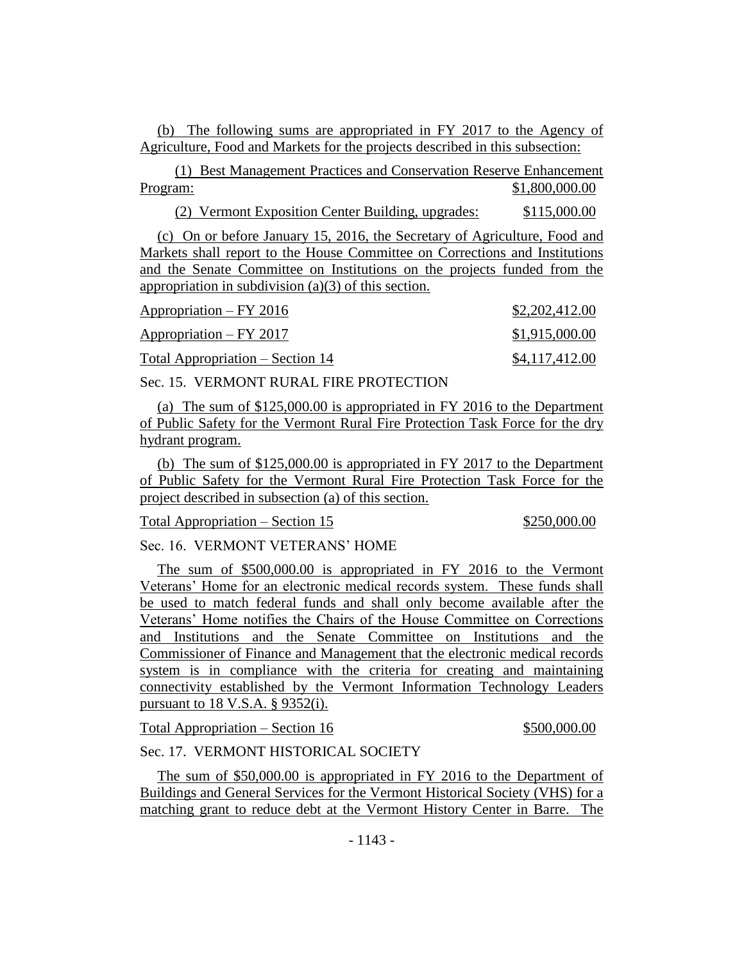(b) The following sums are appropriated in FY 2017 to the Agency of Agriculture, Food and Markets for the projects described in this subsection:

(1) Best Management Practices and Conservation Reserve Enhancement Program: \$1,800,000.00

(2) Vermont Exposition Center Building, upgrades: \$115,000.00

(c) On or before January 15, 2016, the Secretary of Agriculture, Food and Markets shall report to the House Committee on Corrections and Institutions and the Senate Committee on Institutions on the projects funded from the appropriation in subdivision (a)(3) of this section.

| Appropriation – FY 2016          | \$2,202,412.00 |
|----------------------------------|----------------|
| Appropriation – FY 2017          | \$1,915,000.00 |
| Total Appropriation – Section 14 | \$4,117,412.00 |

Sec. 15. VERMONT RURAL FIRE PROTECTION

(a) The sum of \$125,000.00 is appropriated in FY 2016 to the Department of Public Safety for the Vermont Rural Fire Protection Task Force for the dry hydrant program.

(b) The sum of \$125,000.00 is appropriated in FY 2017 to the Department of Public Safety for the Vermont Rural Fire Protection Task Force for the project described in subsection (a) of this section.

Total Appropriation – Section 15 \$250,000.00

Sec. 16. VERMONT VETERANS' HOME

The sum of \$500,000.00 is appropriated in FY 2016 to the Vermont Veterans' Home for an electronic medical records system. These funds shall be used to match federal funds and shall only become available after the Veterans' Home notifies the Chairs of the House Committee on Corrections and Institutions and the Senate Committee on Institutions and the Commissioner of Finance and Management that the electronic medical records system is in compliance with the criteria for creating and maintaining connectivity established by the Vermont Information Technology Leaders pursuant to 18 V.S.A. § 9352(i).

Total Appropriation – Section 16  $$500,000.00$ 

Sec. 17. VERMONT HISTORICAL SOCIETY

The sum of \$50,000.00 is appropriated in FY 2016 to the Department of Buildings and General Services for the Vermont Historical Society (VHS) for a matching grant to reduce debt at the Vermont History Center in Barre. The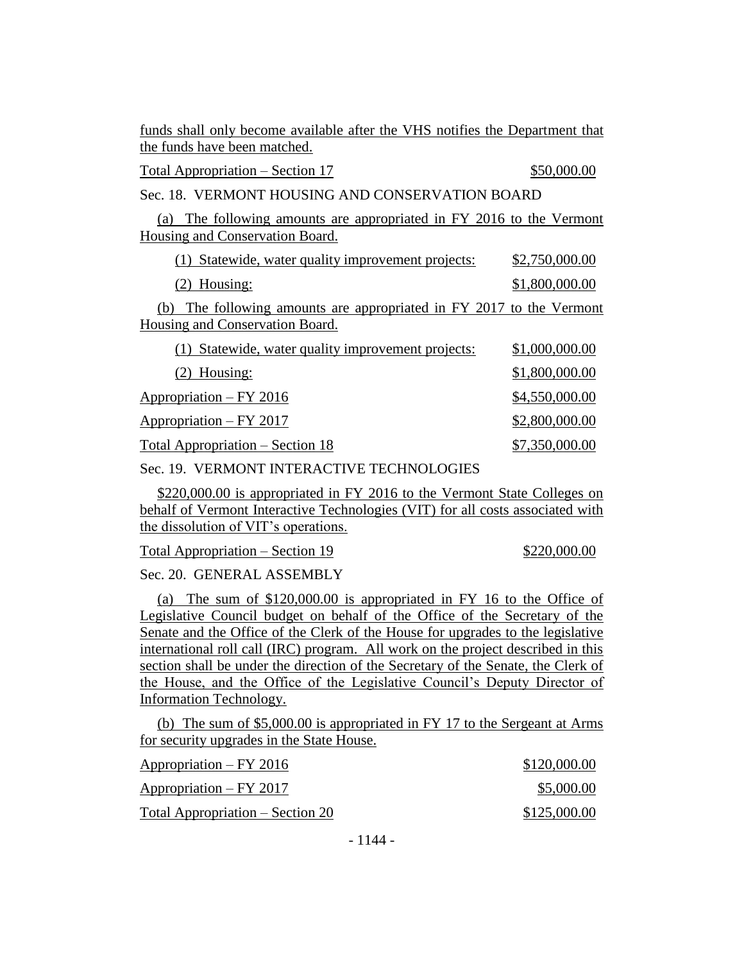funds shall only become available after the VHS notifies the Department that the funds have been matched.

Total Appropriation – Section 17  $$50,000.00$ 

Sec. 18. VERMONT HOUSING AND CONSERVATION BOARD

(a) The following amounts are appropriated in FY 2016 to the Vermont Housing and Conservation Board.

(1) Statewide, water quality improvement projects: \$2,750,000.00 (2) Housing: \$1,800,000.00 (b) The following amounts are appropriated in FY 2017 to the Vermont Housing and Conservation Board.

| (1) Statewide, water quality improvement projects: | \$1,000,000.00 |
|----------------------------------------------------|----------------|
| $(2)$ Housing:                                     | \$1,800,000.00 |
| Appropriation – FY 2016                            | \$4,550,000.00 |
| Appropriation – FY 2017                            | \$2,800,000.00 |
| Total Appropriation – Section 18                   | \$7,350,000.00 |

Sec. 19. VERMONT INTERACTIVE TECHNOLOGIES

\$220,000.00 is appropriated in FY 2016 to the Vermont State Colleges on behalf of Vermont Interactive Technologies (VIT) for all costs associated with the dissolution of VIT's operations.

Total Appropriation – Section 19  $$220,000.00$ 

Sec. 20. GENERAL ASSEMBLY

(a) The sum of \$120,000.00 is appropriated in FY 16 to the Office of Legislative Council budget on behalf of the Office of the Secretary of the Senate and the Office of the Clerk of the House for upgrades to the legislative international roll call (IRC) program. All work on the project described in this section shall be under the direction of the Secretary of the Senate, the Clerk of the House, and the Office of the Legislative Council's Deputy Director of Information Technology.

(b) The sum of \$5,000.00 is appropriated in FY 17 to the Sergeant at Arms for security upgrades in the State House.

| Appropriation – FY 2016          | \$120,000.00 |
|----------------------------------|--------------|
| $Approxation - FY 2017$          | \$5,000.00   |
| Total Appropriation – Section 20 | \$125,000.00 |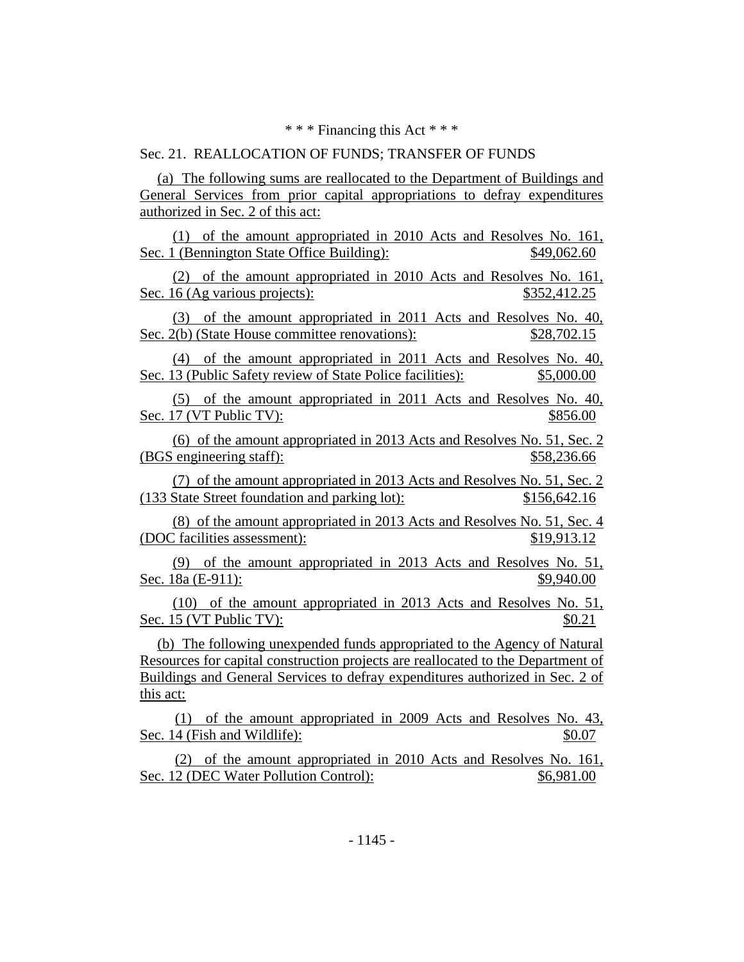\* \* \* Financing this Act \* \* \*

## Sec. 21. REALLOCATION OF FUNDS; TRANSFER OF FUNDS

(a) The following sums are reallocated to the Department of Buildings and General Services from prior capital appropriations to defray expenditures authorized in Sec. 2 of this act:

(1) of the amount appropriated in 2010 Acts and Resolves No. 161, Sec. 1 (Bennington State Office Building): \$49,062.60

(2) of the amount appropriated in 2010 Acts and Resolves No. 161, Sec. 16 (Ag various projects):  $$352,412.25$ 

(3) of the amount appropriated in 2011 Acts and Resolves No. 40, Sec. 2(b) (State House committee renovations):  $$28,702.15$ 

(4) of the amount appropriated in 2011 Acts and Resolves No. 40, Sec. 13 (Public Safety review of State Police facilities): \$5,000.00

(5) of the amount appropriated in 2011 Acts and Resolves No. 40, Sec. 17 (VT Public TV):  $$856.00$ 

(6) of the amount appropriated in 2013 Acts and Resolves No. 51, Sec. 2 (BGS engineering staff):  $$58,236.66$ 

(7) of the amount appropriated in 2013 Acts and Resolves No. 51, Sec. 2 (133 State Street foundation and parking lot): \$156,642.16

(8) of the amount appropriated in 2013 Acts and Resolves No. 51, Sec. 4 (DOC facilities assessment): \$19,913.12

(9) of the amount appropriated in 2013 Acts and Resolves No. 51, Sec. 18a (E-911): \$9,940.00

(10) of the amount appropriated in 2013 Acts and Resolves No. 51, Sec. 15 (VT Public TV):  $\$0.21$ 

(b) The following unexpended funds appropriated to the Agency of Natural Resources for capital construction projects are reallocated to the Department of Buildings and General Services to defray expenditures authorized in Sec. 2 of this act:

(1) of the amount appropriated in 2009 Acts and Resolves No. 43, Sec. 14 (Fish and Wildlife):  $$0.07$ 

(2) of the amount appropriated in 2010 Acts and Resolves No. 161, Sec. 12 (DEC Water Pollution Control):  $$6,981.00$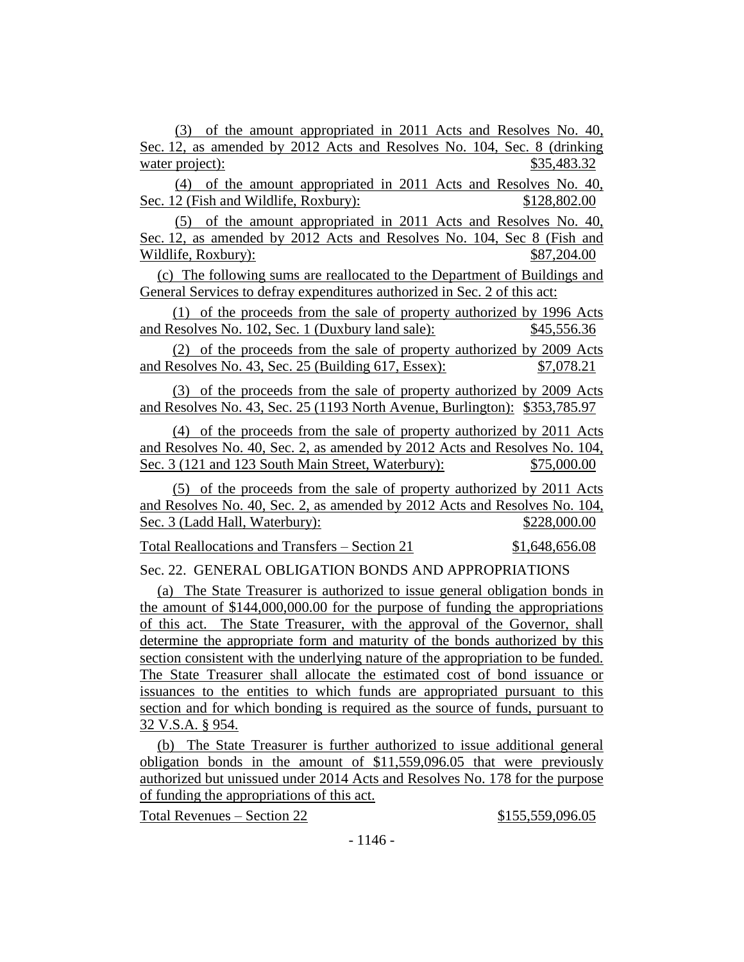(3) of the amount appropriated in 2011 Acts and Resolves No. 40, Sec. 12, as amended by 2012 Acts and Resolves No. 104, Sec. 8 (drinking water project):  $$35,483.32$ 

(4) of the amount appropriated in 2011 Acts and Resolves No. 40, Sec. 12 (Fish and Wildlife, Roxbury): \$128,802.00

(5) of the amount appropriated in 2011 Acts and Resolves No. 40, Sec. 12, as amended by 2012 Acts and Resolves No. 104, Sec 8 (Fish and Wildlife, Roxbury):  $$87,204.00$ 

(c) The following sums are reallocated to the Department of Buildings and General Services to defray expenditures authorized in Sec. 2 of this act:

(1) of the proceeds from the sale of property authorized by 1996 Acts and Resolves No. 102, Sec. 1 (Duxbury land sale): \$45,556.36

(2) of the proceeds from the sale of property authorized by 2009 Acts and Resolves No. 43, Sec. 25 (Building 617, Essex): \$7,078.21

(3) of the proceeds from the sale of property authorized by 2009 Acts and Resolves No. 43, Sec. 25 (1193 North Avenue, Burlington): \$353,785.97

(4) of the proceeds from the sale of property authorized by 2011 Acts and Resolves No. 40, Sec. 2, as amended by 2012 Acts and Resolves No. 104, Sec. 3 (121 and 123 South Main Street, Waterbury): \$75,000.00

(5) of the proceeds from the sale of property authorized by 2011 Acts and Resolves No. 40, Sec. 2, as amended by 2012 Acts and Resolves No. 104, Sec. 3 (Ladd Hall, Waterbury): \$228,000.00

Total Reallocations and Transfers – Section 21 \$1,648,656.08

Sec. 22. GENERAL OBLIGATION BONDS AND APPROPRIATIONS

(a) The State Treasurer is authorized to issue general obligation bonds in the amount of \$144,000,000.00 for the purpose of funding the appropriations of this act. The State Treasurer, with the approval of the Governor, shall determine the appropriate form and maturity of the bonds authorized by this section consistent with the underlying nature of the appropriation to be funded. The State Treasurer shall allocate the estimated cost of bond issuance or issuances to the entities to which funds are appropriated pursuant to this section and for which bonding is required as the source of funds, pursuant to 32 V.S.A. § 954.

(b) The State Treasurer is further authorized to issue additional general obligation bonds in the amount of \$11,559,096.05 that were previously authorized but unissued under 2014 Acts and Resolves No. 178 for the purpose of funding the appropriations of this act.

Total Revenues – Section 22 \$155,559,096.05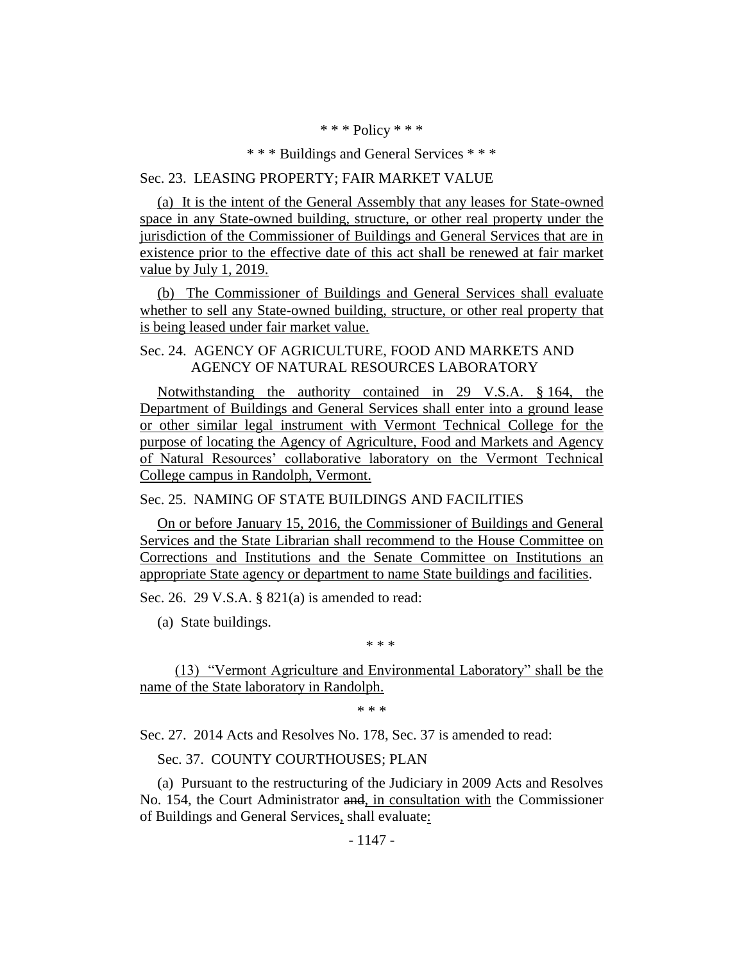\* \* \* Policy \* \* \*

\* \* \* Buildings and General Services \* \* \*

## Sec. 23. LEASING PROPERTY; FAIR MARKET VALUE

(a) It is the intent of the General Assembly that any leases for State-owned space in any State-owned building, structure, or other real property under the jurisdiction of the Commissioner of Buildings and General Services that are in existence prior to the effective date of this act shall be renewed at fair market value by July 1, 2019.

(b) The Commissioner of Buildings and General Services shall evaluate whether to sell any State-owned building, structure, or other real property that is being leased under fair market value.

## Sec. 24. AGENCY OF AGRICULTURE, FOOD AND MARKETS AND AGENCY OF NATURAL RESOURCES LABORATORY

Notwithstanding the authority contained in 29 V.S.A. § 164, the Department of Buildings and General Services shall enter into a ground lease or other similar legal instrument with Vermont Technical College for the purpose of locating the Agency of Agriculture, Food and Markets and Agency of Natural Resources' collaborative laboratory on the Vermont Technical College campus in Randolph, Vermont.

Sec. 25. NAMING OF STATE BUILDINGS AND FACILITIES

On or before January 15, 2016, the Commissioner of Buildings and General Services and the State Librarian shall recommend to the House Committee on Corrections and Institutions and the Senate Committee on Institutions an appropriate State agency or department to name State buildings and facilities.

Sec. 26. 29 V.S.A. § 821(a) is amended to read:

(a) State buildings.

\* \* \*

(13) "Vermont Agriculture and Environmental Laboratory" shall be the name of the State laboratory in Randolph.

\* \* \*

Sec. 27. 2014 Acts and Resolves No. 178, Sec. 37 is amended to read:

Sec. 37. COUNTY COURTHOUSES; PLAN

(a) Pursuant to the restructuring of the Judiciary in 2009 Acts and Resolves No. 154, the Court Administrator and, in consultation with the Commissioner of Buildings and General Services, shall evaluate: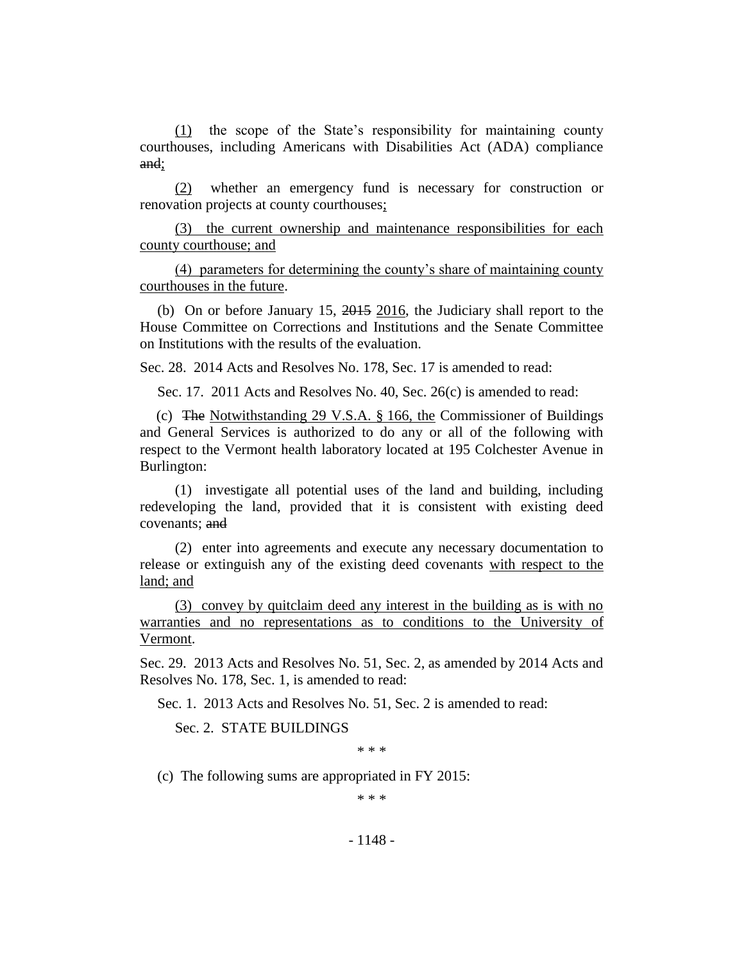(1) the scope of the State's responsibility for maintaining county courthouses, including Americans with Disabilities Act (ADA) compliance and;

(2) whether an emergency fund is necessary for construction or renovation projects at county courthouses;

(3) the current ownership and maintenance responsibilities for each county courthouse; and

(4) parameters for determining the county's share of maintaining county courthouses in the future.

(b) On or before January 15, 2015 2016, the Judiciary shall report to the House Committee on Corrections and Institutions and the Senate Committee on Institutions with the results of the evaluation.

Sec. 28. 2014 Acts and Resolves No. 178, Sec. 17 is amended to read:

Sec. 17. 2011 Acts and Resolves No. 40, Sec. 26(c) is amended to read:

(c) The Notwithstanding 29 V.S.A. § 166, the Commissioner of Buildings and General Services is authorized to do any or all of the following with respect to the Vermont health laboratory located at 195 Colchester Avenue in Burlington:

(1) investigate all potential uses of the land and building, including redeveloping the land, provided that it is consistent with existing deed covenants; and

(2) enter into agreements and execute any necessary documentation to release or extinguish any of the existing deed covenants with respect to the land; and

(3) convey by quitclaim deed any interest in the building as is with no warranties and no representations as to conditions to the University of Vermont.

Sec. 29. 2013 Acts and Resolves No. 51, Sec. 2, as amended by 2014 Acts and Resolves No. 178, Sec. 1, is amended to read:

Sec. 1. 2013 Acts and Resolves No. 51, Sec. 2 is amended to read:

Sec. 2. STATE BUILDINGS

\* \* \*

(c) The following sums are appropriated in FY 2015:

\* \* \*

- 1148 -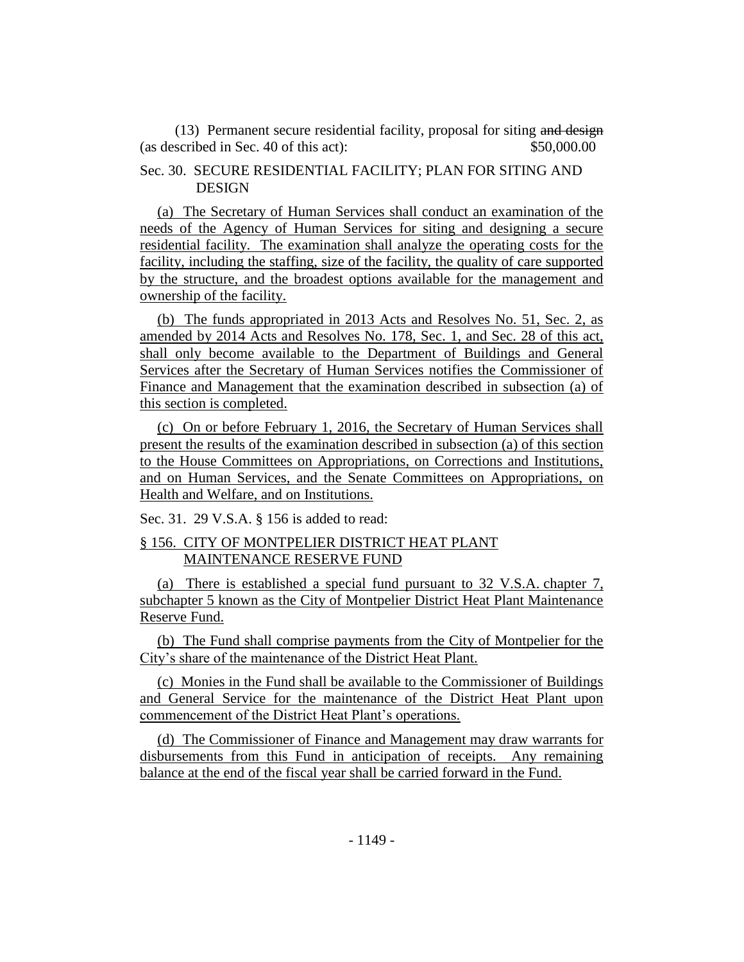(13) Permanent secure residential facility, proposal for siting and design (as described in Sec. 40 of this act): \$50,000.00

## Sec. 30. SECURE RESIDENTIAL FACILITY; PLAN FOR SITING AND DESIGN

(a) The Secretary of Human Services shall conduct an examination of the needs of the Agency of Human Services for siting and designing a secure residential facility. The examination shall analyze the operating costs for the facility, including the staffing, size of the facility, the quality of care supported by the structure, and the broadest options available for the management and ownership of the facility.

(b) The funds appropriated in 2013 Acts and Resolves No. 51, Sec. 2, as amended by 2014 Acts and Resolves No. 178, Sec. 1, and Sec. 28 of this act, shall only become available to the Department of Buildings and General Services after the Secretary of Human Services notifies the Commissioner of Finance and Management that the examination described in subsection (a) of this section is completed.

(c) On or before February 1, 2016, the Secretary of Human Services shall present the results of the examination described in subsection (a) of this section to the House Committees on Appropriations, on Corrections and Institutions, and on Human Services, and the Senate Committees on Appropriations, on Health and Welfare, and on Institutions.

Sec. 31. 29 V.S.A. § 156 is added to read:

## § 156. CITY OF MONTPELIER DISTRICT HEAT PLANT MAINTENANCE RESERVE FUND

(a) There is established a special fund pursuant to 32 V.S.A. chapter 7, subchapter 5 known as the City of Montpelier District Heat Plant Maintenance Reserve Fund.

(b) The Fund shall comprise payments from the City of Montpelier for the City's share of the maintenance of the District Heat Plant.

(c) Monies in the Fund shall be available to the Commissioner of Buildings and General Service for the maintenance of the District Heat Plant upon commencement of the District Heat Plant's operations.

(d) The Commissioner of Finance and Management may draw warrants for disbursements from this Fund in anticipation of receipts. Any remaining balance at the end of the fiscal year shall be carried forward in the Fund.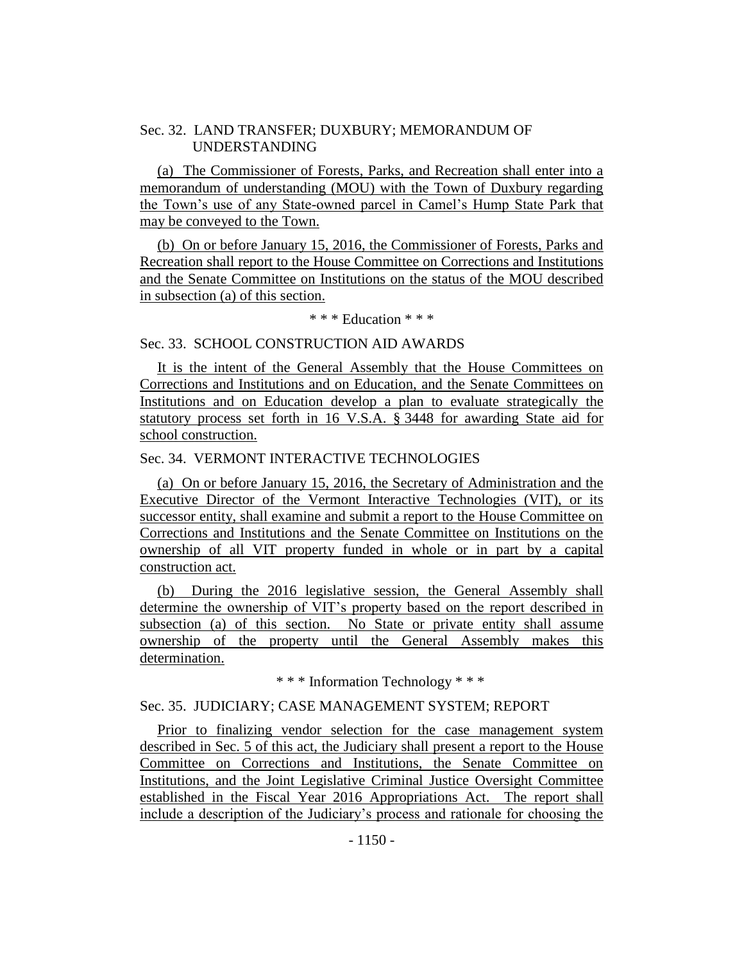## Sec. 32. LAND TRANSFER; DUXBURY; MEMORANDUM OF UNDERSTANDING

(a) The Commissioner of Forests, Parks, and Recreation shall enter into a memorandum of understanding (MOU) with the Town of Duxbury regarding the Town's use of any State-owned parcel in Camel's Hump State Park that may be conveyed to the Town.

(b) On or before January 15, 2016, the Commissioner of Forests, Parks and Recreation shall report to the House Committee on Corrections and Institutions and the Senate Committee on Institutions on the status of the MOU described in subsection (a) of this section.

\* \* \* Education \* \* \*

#### Sec. 33. SCHOOL CONSTRUCTION AID AWARDS

It is the intent of the General Assembly that the House Committees on Corrections and Institutions and on Education, and the Senate Committees on Institutions and on Education develop a plan to evaluate strategically the statutory process set forth in 16 V.S.A. § 3448 for awarding State aid for school construction.

#### Sec. 34. VERMONT INTERACTIVE TECHNOLOGIES

(a) On or before January 15, 2016, the Secretary of Administration and the Executive Director of the Vermont Interactive Technologies (VIT), or its successor entity, shall examine and submit a report to the House Committee on Corrections and Institutions and the Senate Committee on Institutions on the ownership of all VIT property funded in whole or in part by a capital construction act.

(b) During the 2016 legislative session, the General Assembly shall determine the ownership of VIT's property based on the report described in subsection (a) of this section. No State or private entity shall assume ownership of the property until the General Assembly makes this determination.

\* \* \* Information Technology \* \* \*

### Sec. 35. JUDICIARY; CASE MANAGEMENT SYSTEM; REPORT

Prior to finalizing vendor selection for the case management system described in Sec. 5 of this act, the Judiciary shall present a report to the House Committee on Corrections and Institutions, the Senate Committee on Institutions, and the Joint Legislative Criminal Justice Oversight Committee established in the Fiscal Year 2016 Appropriations Act. The report shall include a description of the Judiciary's process and rationale for choosing the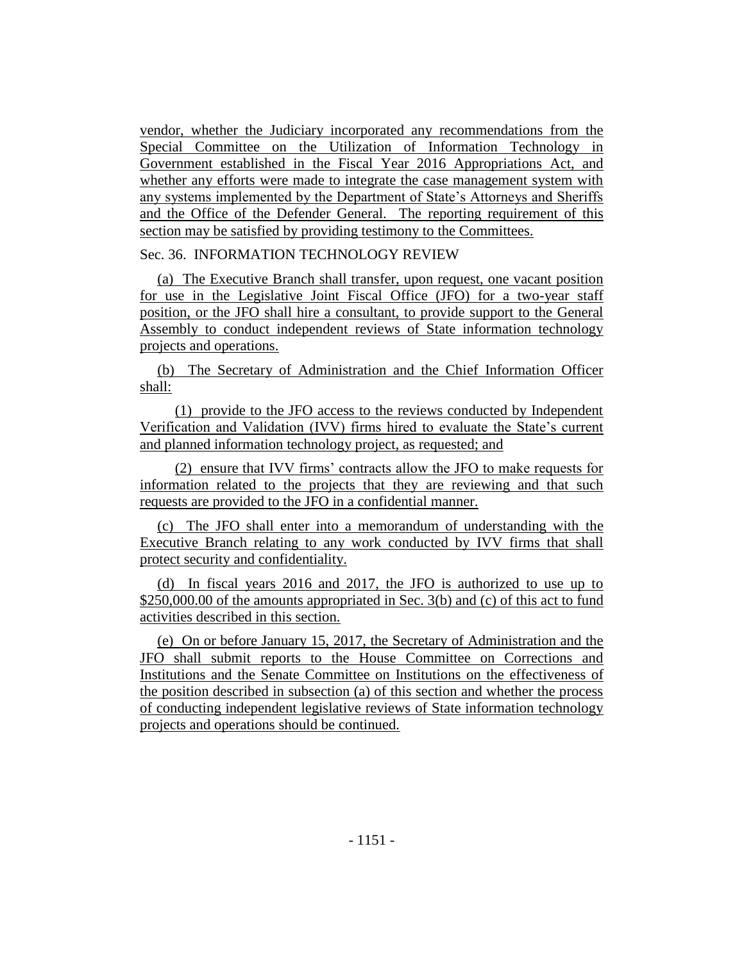vendor, whether the Judiciary incorporated any recommendations from the Special Committee on the Utilization of Information Technology in Government established in the Fiscal Year 2016 Appropriations Act, and whether any efforts were made to integrate the case management system with any systems implemented by the Department of State's Attorneys and Sheriffs and the Office of the Defender General. The reporting requirement of this section may be satisfied by providing testimony to the Committees.

## Sec. 36. INFORMATION TECHNOLOGY REVIEW

(a) The Executive Branch shall transfer, upon request, one vacant position for use in the Legislative Joint Fiscal Office (JFO) for a two-year staff position, or the JFO shall hire a consultant, to provide support to the General Assembly to conduct independent reviews of State information technology projects and operations.

(b) The Secretary of Administration and the Chief Information Officer shall:

(1) provide to the JFO access to the reviews conducted by Independent Verification and Validation (IVV) firms hired to evaluate the State's current and planned information technology project, as requested; and

(2) ensure that IVV firms' contracts allow the JFO to make requests for information related to the projects that they are reviewing and that such requests are provided to the JFO in a confidential manner.

(c) The JFO shall enter into a memorandum of understanding with the Executive Branch relating to any work conducted by IVV firms that shall protect security and confidentiality.

(d) In fiscal years 2016 and 2017, the JFO is authorized to use up to \$250,000.00 of the amounts appropriated in Sec. 3(b) and (c) of this act to fund activities described in this section.

(e) On or before January 15, 2017, the Secretary of Administration and the JFO shall submit reports to the House Committee on Corrections and Institutions and the Senate Committee on Institutions on the effectiveness of the position described in subsection (a) of this section and whether the process of conducting independent legislative reviews of State information technology projects and operations should be continued.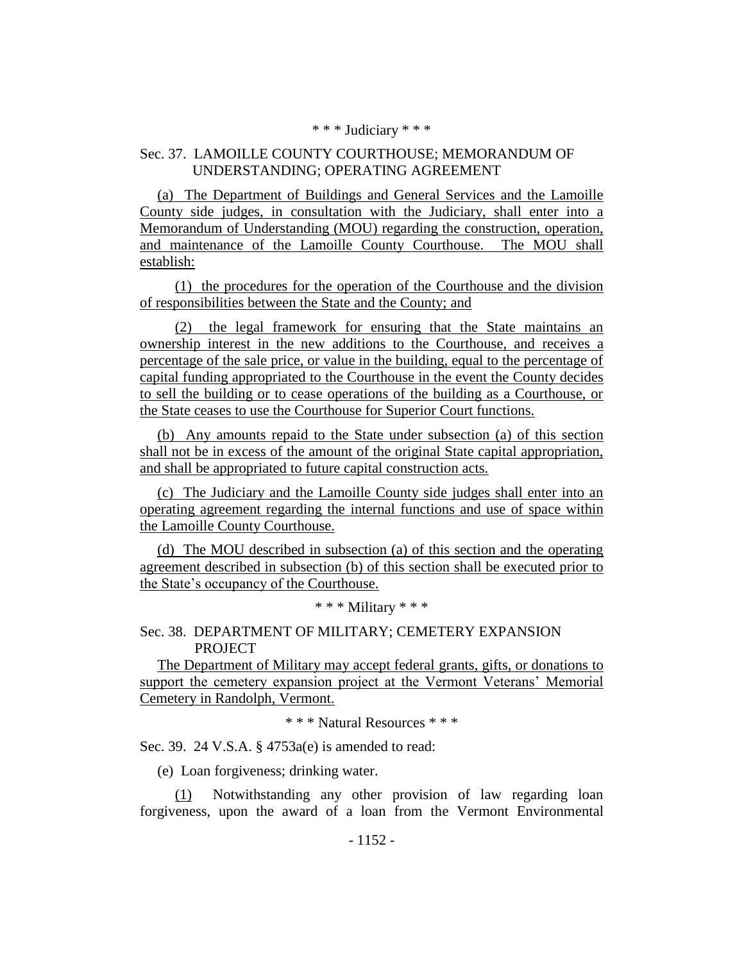#### \* \* \* Judiciary \* \* \*

## Sec. 37. LAMOILLE COUNTY COURTHOUSE; MEMORANDUM OF UNDERSTANDING; OPERATING AGREEMENT

(a) The Department of Buildings and General Services and the Lamoille County side judges, in consultation with the Judiciary, shall enter into a Memorandum of Understanding (MOU) regarding the construction, operation, and maintenance of the Lamoille County Courthouse. The MOU shall establish:

(1) the procedures for the operation of the Courthouse and the division of responsibilities between the State and the County; and

(2) the legal framework for ensuring that the State maintains an ownership interest in the new additions to the Courthouse, and receives a percentage of the sale price, or value in the building, equal to the percentage of capital funding appropriated to the Courthouse in the event the County decides to sell the building or to cease operations of the building as a Courthouse, or the State ceases to use the Courthouse for Superior Court functions.

(b) Any amounts repaid to the State under subsection (a) of this section shall not be in excess of the amount of the original State capital appropriation, and shall be appropriated to future capital construction acts.

(c) The Judiciary and the Lamoille County side judges shall enter into an operating agreement regarding the internal functions and use of space within the Lamoille County Courthouse.

(d) The MOU described in subsection (a) of this section and the operating agreement described in subsection (b) of this section shall be executed prior to the State's occupancy of the Courthouse.

\* \* \* Military \* \* \*

Sec. 38. DEPARTMENT OF MILITARY; CEMETERY EXPANSION **PROJECT** 

The Department of Military may accept federal grants, gifts, or donations to support the cemetery expansion project at the Vermont Veterans' Memorial Cemetery in Randolph, Vermont.

\* \* \* Natural Resources \* \* \*

Sec. 39. 24 V.S.A. § 4753a(e) is amended to read:

(e) Loan forgiveness; drinking water.

(1) Notwithstanding any other provision of law regarding loan forgiveness, upon the award of a loan from the Vermont Environmental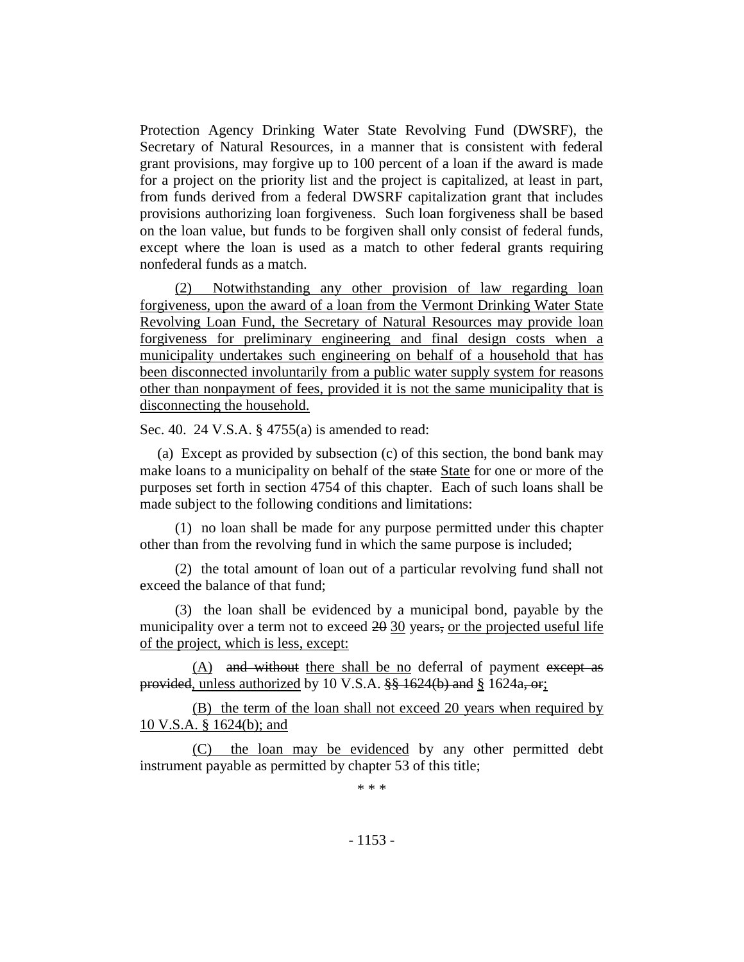Protection Agency Drinking Water State Revolving Fund (DWSRF), the Secretary of Natural Resources, in a manner that is consistent with federal grant provisions, may forgive up to 100 percent of a loan if the award is made for a project on the priority list and the project is capitalized, at least in part, from funds derived from a federal DWSRF capitalization grant that includes provisions authorizing loan forgiveness. Such loan forgiveness shall be based on the loan value, but funds to be forgiven shall only consist of federal funds, except where the loan is used as a match to other federal grants requiring nonfederal funds as a match.

(2) Notwithstanding any other provision of law regarding loan forgiveness, upon the award of a loan from the Vermont Drinking Water State Revolving Loan Fund, the Secretary of Natural Resources may provide loan forgiveness for preliminary engineering and final design costs when a municipality undertakes such engineering on behalf of a household that has been disconnected involuntarily from a public water supply system for reasons other than nonpayment of fees, provided it is not the same municipality that is disconnecting the household.

Sec. 40. 24 V.S.A. § 4755(a) is amended to read:

(a) Except as provided by subsection (c) of this section, the bond bank may make loans to a municipality on behalf of the state State for one or more of the purposes set forth in section 4754 of this chapter. Each of such loans shall be made subject to the following conditions and limitations:

(1) no loan shall be made for any purpose permitted under this chapter other than from the revolving fund in which the same purpose is included;

(2) the total amount of loan out of a particular revolving fund shall not exceed the balance of that fund;

(3) the loan shall be evidenced by a municipal bond, payable by the municipality over a term not to exceed  $20 \frac{30}{20}$  years, or the projected useful life of the project, which is less, except:

(A) and without there shall be no deferral of payment except as provided, unless authorized by 10 V.S.A.  $\frac{88}{9}$  1624(b) and § 1624a, or;

(B) the term of the loan shall not exceed 20 years when required by 10 V.S.A. § 1624(b); and

(C) the loan may be evidenced by any other permitted debt instrument payable as permitted by chapter 53 of this title;

\* \* \*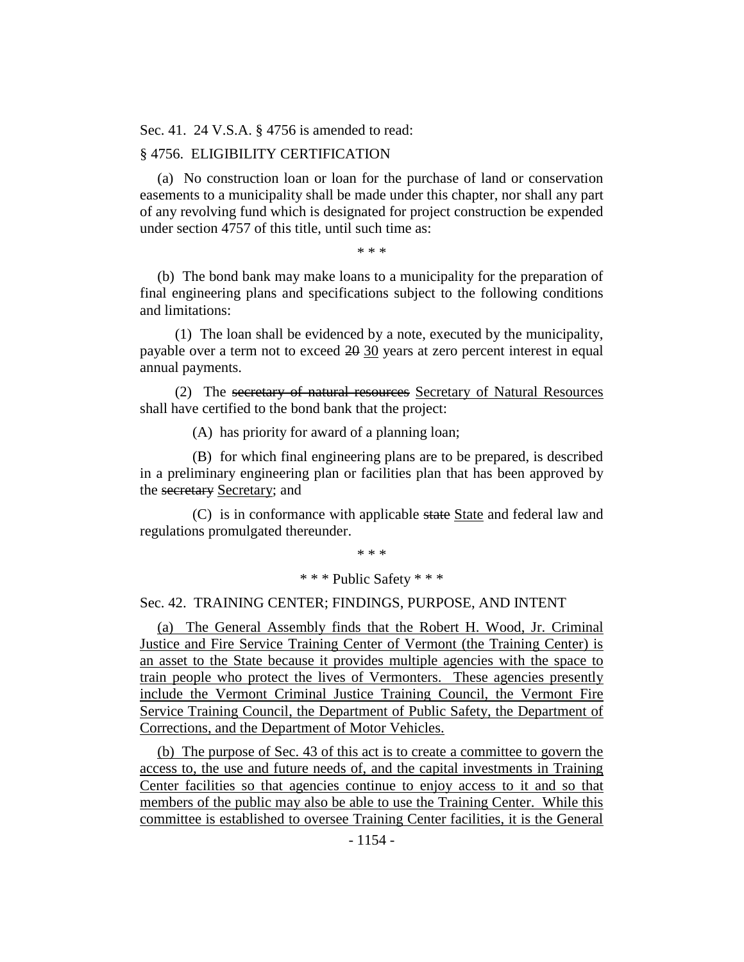Sec. 41. 24 V.S.A. § 4756 is amended to read:

## § 4756. ELIGIBILITY CERTIFICATION

(a) No construction loan or loan for the purchase of land or conservation easements to a municipality shall be made under this chapter, nor shall any part of any revolving fund which is designated for project construction be expended under section 4757 of this title, until such time as:

\* \* \*

(b) The bond bank may make loans to a municipality for the preparation of final engineering plans and specifications subject to the following conditions and limitations:

(1) The loan shall be evidenced by a note, executed by the municipality, payable over a term not to exceed 20 30 years at zero percent interest in equal annual payments.

(2) The secretary of natural resources Secretary of Natural Resources shall have certified to the bond bank that the project:

(A) has priority for award of a planning loan;

(B) for which final engineering plans are to be prepared, is described in a preliminary engineering plan or facilities plan that has been approved by the secretary Secretary; and

(C) is in conformance with applicable state State and federal law and regulations promulgated thereunder.

\* \* \*

## \* \* \* Public Safety \* \* \*

## Sec. 42. TRAINING CENTER; FINDINGS, PURPOSE, AND INTENT

(a) The General Assembly finds that the Robert H. Wood, Jr. Criminal Justice and Fire Service Training Center of Vermont (the Training Center) is an asset to the State because it provides multiple agencies with the space to train people who protect the lives of Vermonters. These agencies presently include the Vermont Criminal Justice Training Council, the Vermont Fire Service Training Council, the Department of Public Safety, the Department of Corrections, and the Department of Motor Vehicles.

(b) The purpose of Sec. 43 of this act is to create a committee to govern the access to, the use and future needs of, and the capital investments in Training Center facilities so that agencies continue to enjoy access to it and so that members of the public may also be able to use the Training Center. While this committee is established to oversee Training Center facilities, it is the General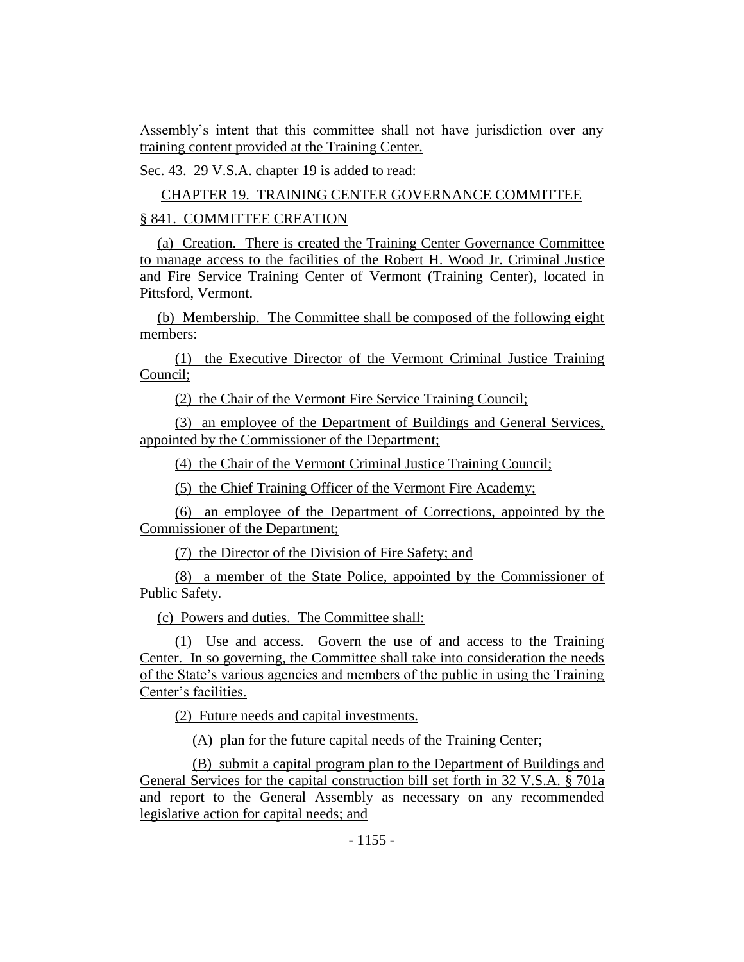Assembly's intent that this committee shall not have jurisdiction over any training content provided at the Training Center.

Sec. 43. 29 V.S.A. chapter 19 is added to read:

CHAPTER 19. TRAINING CENTER GOVERNANCE COMMITTEE

## § 841. COMMITTEE CREATION

(a) Creation. There is created the Training Center Governance Committee to manage access to the facilities of the Robert H. Wood Jr. Criminal Justice and Fire Service Training Center of Vermont (Training Center), located in Pittsford, Vermont.

(b) Membership. The Committee shall be composed of the following eight members:

(1) the Executive Director of the Vermont Criminal Justice Training Council;

(2) the Chair of the Vermont Fire Service Training Council;

(3) an employee of the Department of Buildings and General Services, appointed by the Commissioner of the Department;

(4) the Chair of the Vermont Criminal Justice Training Council;

(5) the Chief Training Officer of the Vermont Fire Academy;

(6) an employee of the Department of Corrections, appointed by the Commissioner of the Department;

(7) the Director of the Division of Fire Safety; and

(8) a member of the State Police, appointed by the Commissioner of Public Safety.

(c) Powers and duties. The Committee shall:

(1) Use and access. Govern the use of and access to the Training Center. In so governing, the Committee shall take into consideration the needs of the State's various agencies and members of the public in using the Training Center's facilities.

(2) Future needs and capital investments.

(A) plan for the future capital needs of the Training Center;

(B) submit a capital program plan to the Department of Buildings and General Services for the capital construction bill set forth in 32 V.S.A. § 701a and report to the General Assembly as necessary on any recommended legislative action for capital needs; and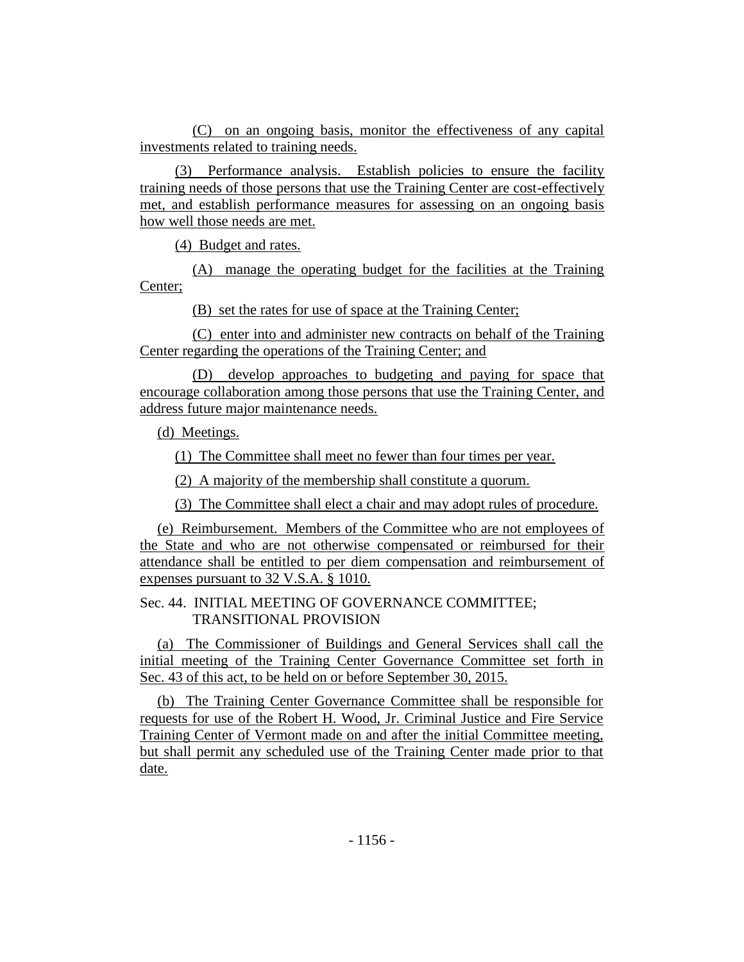(C) on an ongoing basis, monitor the effectiveness of any capital investments related to training needs.

(3) Performance analysis. Establish policies to ensure the facility training needs of those persons that use the Training Center are cost-effectively met, and establish performance measures for assessing on an ongoing basis how well those needs are met.

(4) Budget and rates.

(A) manage the operating budget for the facilities at the Training Center;

(B) set the rates for use of space at the Training Center;

(C) enter into and administer new contracts on behalf of the Training Center regarding the operations of the Training Center; and

(D) develop approaches to budgeting and paying for space that encourage collaboration among those persons that use the Training Center, and address future major maintenance needs.

(d) Meetings.

(1) The Committee shall meet no fewer than four times per year.

(2) A majority of the membership shall constitute a quorum.

(3) The Committee shall elect a chair and may adopt rules of procedure.

(e) Reimbursement. Members of the Committee who are not employees of the State and who are not otherwise compensated or reimbursed for their attendance shall be entitled to per diem compensation and reimbursement of expenses pursuant to 32 V.S.A. § 1010.

## Sec. 44. INITIAL MEETING OF GOVERNANCE COMMITTEE; TRANSITIONAL PROVISION

(a) The Commissioner of Buildings and General Services shall call the initial meeting of the Training Center Governance Committee set forth in Sec. 43 of this act, to be held on or before September 30, 2015.

(b) The Training Center Governance Committee shall be responsible for requests for use of the Robert H. Wood, Jr. Criminal Justice and Fire Service Training Center of Vermont made on and after the initial Committee meeting, but shall permit any scheduled use of the Training Center made prior to that date.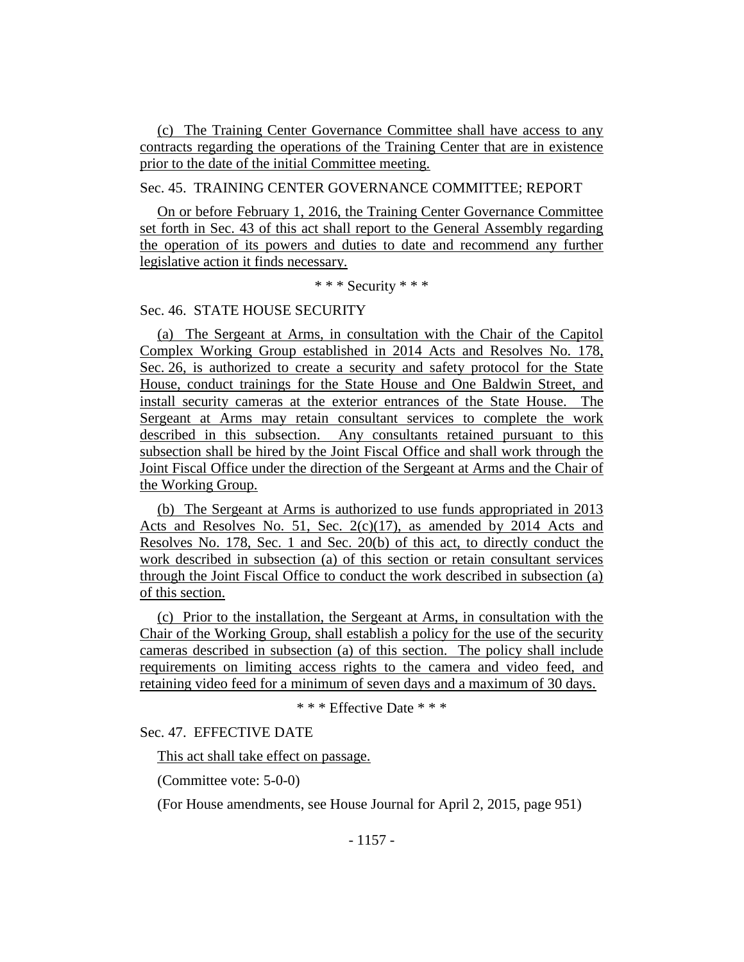(c) The Training Center Governance Committee shall have access to any contracts regarding the operations of the Training Center that are in existence prior to the date of the initial Committee meeting.

## Sec. 45. TRAINING CENTER GOVERNANCE COMMITTEE; REPORT

On or before February 1, 2016, the Training Center Governance Committee set forth in Sec. 43 of this act shall report to the General Assembly regarding the operation of its powers and duties to date and recommend any further legislative action it finds necessary.

\* \* \* Security \* \* \*

## Sec. 46. STATE HOUSE SECURITY

(a) The Sergeant at Arms, in consultation with the Chair of the Capitol Complex Working Group established in 2014 Acts and Resolves No. 178, Sec. 26, is authorized to create a security and safety protocol for the State House, conduct trainings for the State House and One Baldwin Street, and install security cameras at the exterior entrances of the State House. The Sergeant at Arms may retain consultant services to complete the work described in this subsection. Any consultants retained pursuant to this subsection shall be hired by the Joint Fiscal Office and shall work through the Joint Fiscal Office under the direction of the Sergeant at Arms and the Chair of the Working Group.

(b) The Sergeant at Arms is authorized to use funds appropriated in 2013 Acts and Resolves No. 51, Sec. 2(c)(17), as amended by 2014 Acts and Resolves No. 178, Sec. 1 and Sec. 20(b) of this act, to directly conduct the work described in subsection (a) of this section or retain consultant services through the Joint Fiscal Office to conduct the work described in subsection (a) of this section.

(c) Prior to the installation, the Sergeant at Arms, in consultation with the Chair of the Working Group, shall establish a policy for the use of the security cameras described in subsection (a) of this section. The policy shall include requirements on limiting access rights to the camera and video feed, and retaining video feed for a minimum of seven days and a maximum of 30 days.

\* \* \* Effective Date \* \* \*

Sec. 47. EFFECTIVE DATE

This act shall take effect on passage.

(Committee vote: 5-0-0)

(For House amendments, see House Journal for April 2, 2015, page 951)